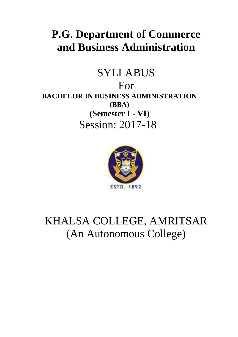# **P.G. Department of Commerce and Business Administration**

# SYLLABUS For **BACHELOR IN BUSINESS ADMINISTRATION (BBA) (Semester I - VI)** Session: 2017-18



KHALSA COLLEGE, AMRITSAR (An Autonomous College)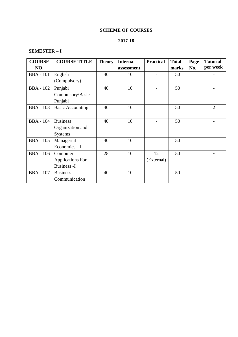# **SCHEME OF COURSES**

# **2017-18**

# **SEMESTER – I**

| <b>COURSE</b>    | <b>COURSE TITLE</b>     | <b>Theory</b> | <b>Internal</b> | <b>Practical</b> | <b>Total</b> | Page | <b>Tutorial</b> |
|------------------|-------------------------|---------------|-----------------|------------------|--------------|------|-----------------|
| NO.              |                         |               | assessment      |                  | marks        | No.  | per week        |
| <b>BBA</b> - 101 | English                 | 40            | 10              |                  | 50           |      |                 |
|                  | (Compulsory)            |               |                 |                  |              |      |                 |
| <b>BBA</b> - 102 | Punjabi                 | 40            | 10              |                  | 50           |      |                 |
|                  | Compulsory/Basic        |               |                 |                  |              |      |                 |
|                  | Punjabi                 |               |                 |                  |              |      |                 |
| <b>BBA</b> - 103 | <b>Basic Accounting</b> | 40            | 10              |                  | 50           |      | $\overline{2}$  |
|                  |                         |               |                 |                  |              |      |                 |
| <b>BBA</b> - 104 | <b>Business</b>         | 40            | 10              |                  | 50           |      |                 |
|                  | Organization and        |               |                 |                  |              |      |                 |
|                  | <b>Systems</b>          |               |                 |                  |              |      |                 |
| <b>BBA</b> - 105 | Managerial              | 40            | 10              |                  | 50           |      |                 |
|                  | Economics - I           |               |                 |                  |              |      |                 |
| <b>BBA</b> - 106 | Computer                | 28            | 10              | 12               | 50           |      |                 |
|                  | <b>Applications For</b> |               |                 | (External)       |              |      |                 |
|                  | <b>Business -I</b>      |               |                 |                  |              |      |                 |
| <b>BBA</b> - 107 | <b>Business</b>         | 40            | 10              |                  | 50           |      |                 |
|                  | Communication           |               |                 |                  |              |      |                 |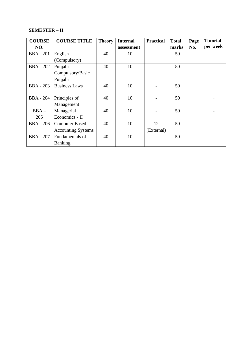# **SEMESTER – II**

| <b>COURSE</b>    | <b>COURSE TITLE</b>       | <b>Theory</b> | <b>Internal</b> | <b>Practical</b> | <b>Total</b> | Page | <b>Tutorial</b> |
|------------------|---------------------------|---------------|-----------------|------------------|--------------|------|-----------------|
| NO.              |                           |               | assessment      |                  | marks        | No.  | per week        |
| <b>BBA</b> - 201 | English                   | 40            | 10              |                  | 50           |      |                 |
|                  | (Compulsory)              |               |                 |                  |              |      |                 |
| <b>BBA</b> - 202 | Punjabi                   | 40            | 10              |                  | 50           |      |                 |
|                  | Compulsory/Basic          |               |                 |                  |              |      |                 |
|                  | Punjabi                   |               |                 |                  |              |      |                 |
| <b>BBA</b> - 203 | <b>Business Laws</b>      | 40            | 10              |                  | 50           |      |                 |
|                  |                           |               |                 |                  |              |      |                 |
| <b>BBA</b> - 204 | Principles of             | 40            | 10              |                  | 50           |      |                 |
|                  | Management                |               |                 |                  |              |      |                 |
| $BBA -$          | Managerial                | 40            | 10              |                  | 50           |      |                 |
| 205              | Economics - II            |               |                 |                  |              |      |                 |
| <b>BBA</b> - 206 | <b>Computer Based</b>     | 40            | 10              | 12               | 50           |      |                 |
|                  | <b>Accounting Systems</b> |               |                 | (External)       |              |      |                 |
| <b>BBA</b> - 207 | Fundamentals of           | 40            | 10              |                  | 50           |      |                 |
|                  | Banking                   |               |                 |                  |              |      |                 |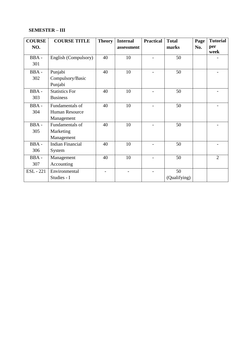# **SEMESTER – III**

| <b>COURSE</b>    | <b>COURSE TITLE</b>     | <b>Theory</b> | <b>Internal</b> | <b>Practical</b> | <b>Total</b> | Page | <b>Tutorial</b> |
|------------------|-------------------------|---------------|-----------------|------------------|--------------|------|-----------------|
| NO.              |                         |               | assessment      |                  | marks        | No.  | per             |
|                  |                         |               |                 |                  |              |      | week            |
| BBA-             | English (Compulsory)    | 40            | 10              |                  | 50           |      |                 |
| 301              |                         |               |                 |                  |              |      |                 |
| BBA-             | Punjabi                 | 40            | 10              |                  | 50           |      |                 |
| 302              | Compulsory/Basic        |               |                 |                  |              |      |                 |
|                  | Punjabi                 |               |                 |                  |              |      |                 |
| BBA-             | <b>Statistics For</b>   | 40            | 10              |                  | 50           |      |                 |
| 303              | <b>Business</b>         |               |                 |                  |              |      |                 |
| BBA-             | Fundamentals of         | 40            | 10              |                  | 50           |      |                 |
| 304              | Human Resource          |               |                 |                  |              |      |                 |
|                  | Management              |               |                 |                  |              |      |                 |
| BBA-             | Fundamentals of         | 40            | 10              |                  | 50           |      |                 |
| 305              | Marketing               |               |                 |                  |              |      |                 |
|                  | Management              |               |                 |                  |              |      |                 |
| BBA-             | <b>Indian Financial</b> | 40            | 10              |                  | 50           |      |                 |
| 306              | System                  |               |                 |                  |              |      |                 |
| BBA-             | Management              | 40            | 10              |                  | 50           |      | $\overline{2}$  |
| 307              | Accounting              |               |                 |                  |              |      |                 |
| <b>ESL</b> - 221 | Environmental           |               |                 |                  | 50           |      |                 |
|                  | Studies - I             |               |                 |                  | (Qualifying) |      |                 |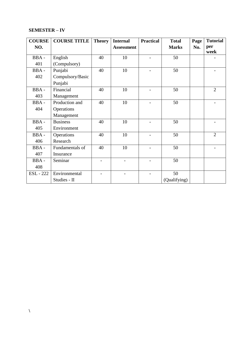# **SEMESTER – IV**

| <b>COURSE</b>    | <b>COURSE TITLE</b> | <b>Theory</b> | <b>Internal</b>   | <b>Practical</b> | <b>Total</b> | Page | <b>Tutorial</b> |
|------------------|---------------------|---------------|-------------------|------------------|--------------|------|-----------------|
| NO.              |                     |               | <b>Assessment</b> |                  | <b>Marks</b> | No.  | per<br>week     |
| BBA-             | English             | 40            | 10                |                  | 50           |      |                 |
| 401              | (Compulsory)        |               |                   |                  |              |      |                 |
| BBA-             | Punjabi             | 40            | 10                |                  | 50           |      |                 |
| 402              | Compulsory/Basic    |               |                   |                  |              |      |                 |
|                  | Punjabi             |               |                   |                  |              |      |                 |
| BBA-             | Financial           | 40            | 10                |                  | 50           |      | $\overline{2}$  |
| 403              | Management          |               |                   |                  |              |      |                 |
| BBA-             | Production and      | 40            | 10                |                  | 50           |      |                 |
| 404              | Operations          |               |                   |                  |              |      |                 |
|                  | Management          |               |                   |                  |              |      |                 |
| BBA-             | <b>Business</b>     | 40            | 10                |                  | 50           |      |                 |
| 405              | Environment         |               |                   |                  |              |      |                 |
| BBA-             | Operations          | 40            | 10                |                  | 50           |      | $\overline{2}$  |
| 406              | Research            |               |                   |                  |              |      |                 |
| BBA-             | Fundamentals of     | 40            | 10                |                  | 50           |      |                 |
| 407              | Insurance           |               |                   |                  |              |      |                 |
| BBA-             | Seminar             |               |                   |                  | 50           |      |                 |
| 408              |                     |               |                   |                  |              |      |                 |
| <b>ESL</b> - 222 | Environmental       |               |                   |                  | 50           |      |                 |
|                  | Studies - II        |               |                   |                  | (Qualifying) |      |                 |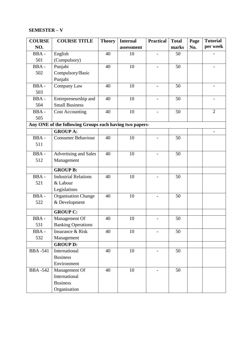# **SEMESTER – V**

| <b>COURSE</b>  | <b>COURSE TITLE</b>                                     | <b>Theory</b> | <b>Internal</b> | <b>Practical</b>         | <b>Total</b> | Page | <b>Tutorial</b> |
|----------------|---------------------------------------------------------|---------------|-----------------|--------------------------|--------------|------|-----------------|
| NO.            |                                                         |               | assessment      |                          | marks        | No.  | per week        |
| BBA-           | English                                                 | 40            | 10              |                          | 50           |      |                 |
| 501            | (Compulsory)                                            |               |                 |                          |              |      |                 |
| BBA-           | Punjabi                                                 | 40            | 10              |                          | 50           |      |                 |
| 502            | Compulsory/Basic                                        |               |                 |                          |              |      |                 |
|                | Punjabi                                                 |               |                 |                          |              |      |                 |
| BBA-           | Company Law                                             | 40            | 10              | $\overline{\phantom{0}}$ | 50           |      |                 |
| 503            |                                                         |               |                 |                          |              |      |                 |
| BBA-           | Entrepreneurship and                                    | 40            | 10              |                          | 50           |      |                 |
| 504            | <b>Small Business</b>                                   |               |                 |                          |              |      |                 |
| BBA-           | <b>Cost Accounting</b>                                  | 40            | 10              |                          | 50           |      | $\overline{2}$  |
| 505            |                                                         |               |                 |                          |              |      |                 |
|                | Any ONE of the following Groups each having two papers- |               |                 |                          |              |      |                 |
|                | <b>GROUP A:</b>                                         |               |                 |                          |              |      |                 |
| BBA-           | <b>Consumer Behaviour</b>                               | 40            | 10              |                          | 50           |      |                 |
| 511            |                                                         |               |                 |                          |              |      |                 |
| BBA-           | Advertising and Sales                                   | 40            | 10              |                          | 50           |      |                 |
| 512            | Management                                              |               |                 |                          |              |      |                 |
|                |                                                         |               |                 |                          |              |      |                 |
|                | <b>GROUP B:</b>                                         |               |                 |                          |              |      |                 |
| BBA-           | <b>Industrial Relations</b>                             | 40            | 10              |                          | 50           |      |                 |
| 521            | & Labour                                                |               |                 |                          |              |      |                 |
|                | Legislations                                            |               |                 |                          |              |      |                 |
| BBA-           | <b>Organisation Change</b>                              | 40            | 10              |                          | 50           |      |                 |
| 522            | & Development                                           |               |                 |                          |              |      |                 |
|                | <b>GROUP C:</b>                                         |               |                 |                          |              |      |                 |
| BBA-           | Management Of                                           | 40            | 10              |                          | 50           |      |                 |
| 531            | <b>Banking Operations</b>                               |               |                 |                          |              |      |                 |
| BBA-           | Insurance & Risk                                        | 40            | 10              |                          | 50           |      |                 |
| 532            | Management                                              |               |                 |                          |              |      |                 |
|                | <b>GROUP D:</b>                                         |               |                 |                          |              |      |                 |
| <b>BBA-541</b> | International                                           | 40            | 10              |                          | 50           |      |                 |
|                | <b>Business</b>                                         |               |                 |                          |              |      |                 |
|                | Environment                                             |               |                 |                          |              |      |                 |
| <b>BBA-542</b> | Management Of                                           | 40            | 10              |                          | 50           |      |                 |
|                | International                                           |               |                 |                          |              |      |                 |
|                | <b>Business</b>                                         |               |                 |                          |              |      |                 |
|                | Organisation                                            |               |                 |                          |              |      |                 |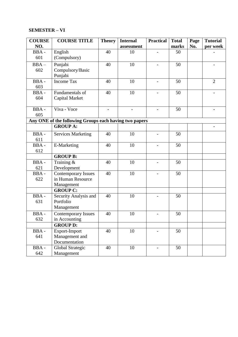# **SEMESTER – VI**

| <b>COURSE</b> | <b>COURSE TITLE</b>                                    | <b>Theory</b> | <b>Internal</b> | <b>Practical</b>         | <b>Total</b> | Page | <b>Tutorial</b> |
|---------------|--------------------------------------------------------|---------------|-----------------|--------------------------|--------------|------|-----------------|
| NO.           |                                                        |               | assessment      |                          | marks        | No.  | per week        |
| BBA-          | English                                                | 40            | 10              |                          | 50           |      |                 |
| 601           | (Compulsory)                                           |               |                 |                          |              |      |                 |
| $BBA -$       | Punjabi                                                | 40            | 10              |                          | 50           |      |                 |
| 602           | Compulsory/Basic                                       |               |                 |                          |              |      |                 |
|               | Punjabi                                                |               |                 |                          |              |      |                 |
| BBA-          | <b>Income Tax</b>                                      | 40            | 10              | $\qquad \qquad -$        | 50           |      | $\overline{2}$  |
| 603           |                                                        |               |                 |                          |              |      |                 |
| BBA-          | Fundamentals of                                        | 40            | 10              |                          | 50           |      |                 |
| 604           | Capital Market                                         |               |                 |                          |              |      |                 |
|               |                                                        |               |                 |                          |              |      |                 |
| BBA-          | Viva - Voce                                            |               | $\overline{a}$  |                          | 50           |      |                 |
| 605           |                                                        |               |                 |                          |              |      |                 |
|               | Any ONE of the following Groups each having two papers |               |                 |                          |              |      |                 |
|               | <b>GROUP A:</b>                                        |               |                 |                          |              |      |                 |
| BBA-          | <b>Services Marketing</b>                              | 40            | 10              | $\overline{a}$           | 50           |      |                 |
| 611           |                                                        |               |                 |                          |              |      |                 |
| $BBA -$       | E-Marketing                                            | 40            | 10              |                          | 50           |      |                 |
| 612           |                                                        |               |                 |                          |              |      |                 |
|               | <b>GROUP B:</b>                                        |               |                 |                          |              |      |                 |
| BBA-          | Training &                                             | 40            | 10              |                          | 50           |      |                 |
| 621           | Development                                            |               |                 |                          |              |      |                 |
| BBA-          | Contemporary Issues                                    | 40            | 10              |                          | 50           |      |                 |
| 622           | in Human Resource                                      |               |                 |                          |              |      |                 |
|               | Management                                             |               |                 |                          |              |      |                 |
|               | <b>GROUP C:</b>                                        |               |                 |                          |              |      |                 |
| BBA-          | Security Analysis and                                  | 40            | 10              |                          | 50           |      |                 |
| 631           | Portfolio                                              |               |                 |                          |              |      |                 |
|               | Management                                             |               |                 |                          |              |      |                 |
| BBA-          | <b>Contemporary Issues</b>                             | 40            | 10              | $\overline{\phantom{0}}$ | 50           |      |                 |
| 632           | in Accounting                                          |               |                 |                          |              |      |                 |
|               | <b>GROUP D:</b>                                        |               |                 |                          |              |      |                 |
| BBA-          | Export-Import                                          | 40            | 10              |                          | 50           |      |                 |
| 641           | Management and                                         |               |                 |                          |              |      |                 |
|               | Documentation                                          |               |                 |                          |              |      |                 |
| BBA-          | Global Strategic                                       | 40            | 10              | $\overline{a}$           | 50           |      |                 |
| 642           | Management                                             |               |                 |                          |              |      |                 |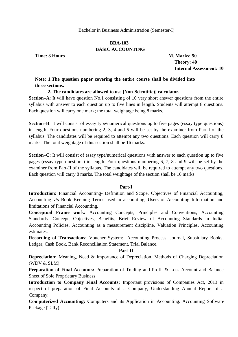# **BBA-103 BASIC ACCOUNTING**

**Time: 3 Hours M. Marks: 50**

 **Theory: 40 Internal Assessment: 10**

# **Note: 1.The question paper covering the entire course shall be divided into three sections.**

#### **2. The candidates are allowed to use [Non-Scientific)] calculator.**

**Section–A**: It will have question No.1 consisting of 10 very short answer questions from the entire syllabus with answer to each question up to five lines in length. Students will attempt 8 questions. Each question will carry one mark; the total weightage being 8 marks.

**Section–B**: It will consist of essay type/numerical questions up to five pages (essay type questions) in length. Four questions numbering 2, 3, 4 and 5 will be set by the examiner from Part-I of the syllabus. The candidates will be required to attempt any two questions. Each question will carry 8 marks. The total weightage of this section shall be 16 marks.

**Section–C**: It will consist of essay type/numerical questions with answer to each question up to five pages (essay type questions) in length. Four questions numbering 6, 7, 8 and 9 will be set by the examiner from Part-II of the syllabus. The candidates will be required to attempt any two questions. Each question will carry 8 marks. The total weightage of the section shall be 16 marks.

#### **Part-I**

**Introduction:** Financial Accounting- Definition and Scope, Objectives of Financial Accounting, Accounting v/s Book Keeping Terms used in accounting, Users of Accounting Information and limitations of Financial Accounting.

**Conceptual Frame work:** Accounting Concepts, Principles and Conventions, Accounting Standards- Concept, Objectives, Benefits, Brief Review of Accounting Standards in India, Accounting Policies, Accounting as a measurement discipline, Valuation Principles, Accounting estimates.

**Recording of Transactions:** Voucher System:- Accounting Process, Journal, Subsidiary Books, Ledger, Cash Book, Bank Reconciliation Statement, Trial Balance.

#### **Part-II**

**Depreciation:** Meaning, Need & Importance of Depreciation, Methods of Charging Depreciation (WDV & SLM).

**Preparation of Final Accounts:** Preparation of Trading and Profit & Loss Account and Balance Sheet of Sole Proprietary Business

**Introduction to Company Final Accounts:** Important provisions of Companies Act, 2013 in respect of preparation of Final Accounts of a Company, Understanding Annual Report of a Company.

**Computerized Accounting: C**omputers and its Application in Accounting. Accounting Software Package (Tally)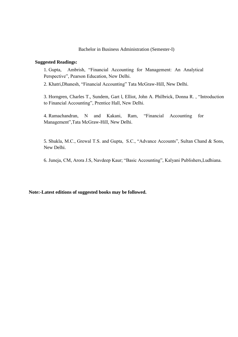#### **Suggested Readings:**

1. Gupta, Ambrish, "Financial Accounting for Management: An Analytical Perspective", Pearson Education, New Delhi.

2. Khatri, Dhanesh, "Financial Accounting" Tata McGraw-Hill, New Delhi.

3. Horngren, Charles T., Sundem, Gart 1, Elliot, John A. Philbrick, Donna R., "Introduction to Financial Accounting", Prentice Hall, New Delhi.

4. Ramachandran, N and Kakani, Ram, "Financial Accounting for Management",Tata McGraw-Hill, New Delhi.

5. Shukla, M.C., Grewal T.S. and Gupta, S.C., "Advance Accounts", Sultan Chand & Sons, New Delhi.

6. Juneja, CM, Arora J.S, Navdeep Kaur; "Basic Accounting", Kalyani Publishers, Ludhiana.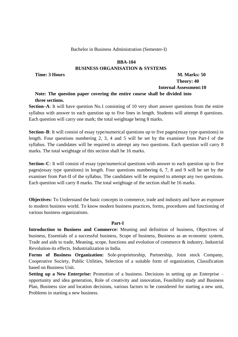#### **BBA-104**

# **BUSINESS ORGANISATION & SYSTEMS**

# **Time: 3 Hours M. Marks: 50 Theory: 40 Internal Assessment:10**

# **Note: The question paper covering the entire course shall be divided into three sections.**

**Section–A**: It will have question No.1 consisting of 10 very short answer questions from the entire syllabus with answer to each question up to five lines in length. Students will attempt 8 questions. Each question will carry one mark; the total weightage being 8 marks.

**Section–B**: It will consist of essay type/numerical questions up to five pages(essay type questions) in length. Four questions numbering 2, 3, 4 and 5 will be set by the examiner from Part-I of the syllabus. The candidates will be required to attempt any two questions. Each question will carry 8 marks. The total weightage of this section shall be 16 marks.

**Section–C**: It will consist of essay type/numerical questions with answer to each question up to five pages(essay type questions) in length. Four questions numbering 6, 7, 8 and 9 will be set by the examiner from Part-II of the syllabus. The candidates will be required to attempt any two questions. Each question will carry 8 marks. The total weightage of the section shall be 16 marks.

**Objectives:** To Understand the basic concepts in commerce, trade and industry and have an exposure to modern business world. To know modern business practices, forms, procedures and functioning of various business organizations.

# **Part-I**

**Introduction to Business and Commerce:** Meaning and definition of business, Objectives of business, Essentials of a successful business, Scope of business, Business as an economic system, Trade and aids to trade, Meaning, scope, functions and evolution of commerce & industry, Industrial Revolution-its effects. Industrialization in India.

**Forms of Business Organization:** Sole-proprietorship, Partnership, Joint stock Company, Cooperative Society, Public Utilities, Selection of a suitable form of organization, Classification based on Business Unit.

**Setting up a New Enterprise:** Promotion of a business. Decisions in setting up an Enterprise – opportunity and idea generation, Role of creativity and innovation, Feasibility study and Business Plan, Business size and location decisions, various factors to be considered for starting a new unit, Problems in starting a new business.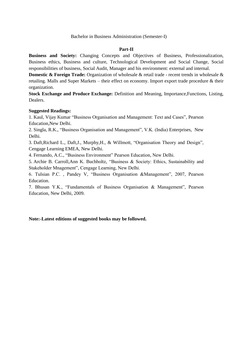#### **Part-II**

**Business and Society:** Changing Concepts and Objectives of Business, Professionalization, Business ethics, Business and culture, Technological Development and Social Change, Social responsibilities of business, Social Audit, Manager and his environment: external and internal.

**Domestic & Foreign Trade:** Organization of wholesale & retail trade - recent trends in wholesale & retailing. Malls and Super Markets – their effect on economy. Import export trade procedure & their organization.

**Stock Exchange and Produce Exchange:** Definition and Meaning, Importance,Functions, Listing, Dealers.

# **Suggested Readings:**

1. Kaul, Vijay Kumar "Business Organisation and Management: Text and Cases", Pearson Education,New Delhi.

2. Singla, R.K., "Business Organisation and Management", V.K. (India) Enterprises, New Delhi.

3. Daft, Richard L., Daft, J., Murphy, H., & Willmott, "Organisation Theory and Design", Cengage Learning EMEA, New Delhi.

4. Fernando, A.C., "Business Environment" Pearson Education, New Delhi.

5. Archie B. Carroll,Ann K. Buchholtz, "Business & Society: Ethics, Sustainability and Stakeholder Mnagement", Cengage Learning, New Delhi.

6. Tulsian P.C., Pandey V, "Business Organisation &Management", 2007, Pearson Education.

7. Bhusan Y.K., "Fundamentals of Business Organisation & Management", Pearson Education, New Delhi, 2009.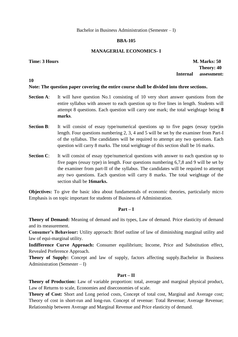# **BBA-105**

# **MANAGERIAL ECONOMICS- I**

**10**

**Time: 3 Hours M. Marks: 50 Theory: 40 Internal assessment:**

# **Note: The question paper covering the entire course shall be divided into three sections.**

- **Section A:** It will have question No.1 consisting of 10 very short answer questions from the entire syllabus with answer to each question up to five lines in length. Students will attempt 8 questions. Each question will carry one mark; the total weightage being **8 marks**.
- **Section B**: It will consist of essay type/numerical questions up to five pages (essay type)in length. Four questions numbering 2, 3, 4 and 5 will be set by the examiner from Part-I of the syllabus. The candidates will be required to attempt any two questions. Each question will carry 8 marks. The total weightage of this section shall be 16 marks.
- **Section C:** It will consist of essay type/numerical questions with answer to each question up to five pages (essay type) in length. Four questions numbering 6,7,8 and 9 will be set by the examiner from part-II of the syllabus. The candidates will be required to attempt any two questions. Each question will carry 8 marks. The total weightage of the section shall be **16marks.**

**Objectives:** To give the basic idea about fundamentals of economic theories, particularly micro Emphasis is on topic important for students of Business of Administration.

# **Part – I**

**Theory of Demand:** Meaning of demand and its types, Law of demand. Price elasticity of demand and its measurement.

**Consumer's Behaviour:** Utility approach: Brief outline of law of diminishing marginal utility and law of equi-marginal utility.

**Indifference Curve Approach:** Consumer equilibrium; Income, Price and Substitution effect, Revealed Preference Approach.

**Theory of Supply:** Concept and law of supply, factors affecting supply.Bachelor in Business Administration (Semester – I)

# **Part – II**

**Theory of Production:** Law of variable proportion: total, average and marginal physical product, Law of Returns to scale, Economies and diseconomies of scale.

**Theory of Cost:** Short and Long period costs, Concept of total cost, Marginal and Average cost; Theory of cost in short-run and long-run. Concept of revenue: Total Revenue; Average Revenue; Relationship between Average and Marginal Revenue and Price elasticity of demand.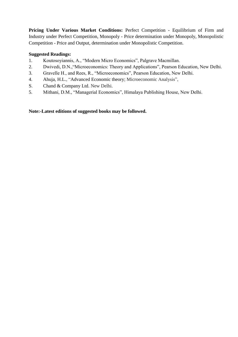Pricing Under Various Market Conditions: Perfect Competition - Equilibrium of Firm and Industry under Perfect Competition, Monopoly - Price determination under Monopoly, Monopolistic Competition - Price and Output, determination under Monopolistic Competition.

# **Suggested Readings:**

- 1. Koutosoyiannis, A., "Modern Micro Economics", Palgrave Macmillan.
- 2. Dwivedi, D.N., "Microeconomics: Theory and Applications", Pearson Education, New Delhi.
- 3. Gravelle H., and Rees, R., "Microeconomics", Pearson Education, New Delhi.
- 4. Ahuja, H.L., "Advanced Economic theory; Microeconomic Analysis",
- S. Chand & Company Ltd. New Delhi.
- 5. Mithani, D.M., "Managerial Economics", Himalaya Publishing House, New Delhi.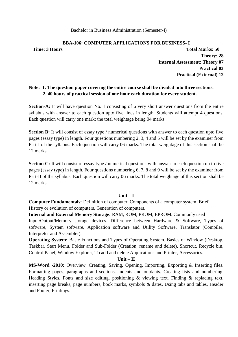# **BBA-106: COMPUTER APPLICATIONS FOR BUSINESS- I**

**Time: 3 Hours Total Marks: 50 Theory: 28 Internal Assessment: Theory 07 Practical 03 Practical (External) 12**

# **Note: 1. The question paper covering the entire course shall be divided into three sections. 2. 40 hours of practical session of one hour each duration for every student.**

**Section-A:** It will have question No. 1 consisting of 6 very short answer questions from the entire syllabus with answer to each question upto five lines in length. Students will attempt 4 questions. Each question will carry one mark; the total weightage being 04 marks.

**Section B:** It will consist of essay type / numerical questions with answer to each question upto five pages (essay type) in length. Four questions numbering 2, 3, 4 and 5 will be set by the examiner from Part-I of the syllabus. Each question will carry 06 marks. The total weightage of this section shall be 12 marks.

**Section C:** It will consist of essay type / numerical questions with answer to each question up to five pages (essay type) in length. Four questions numbering 6, 7, 8 and 9 will be set by the examiner from Part-II of the syllabus. Each question will carry 06 marks. The total weightage of this section shall be 12 marks.

# **Unit – I**

**Computer Fundamentals:** Definition of computer, Components of a computer system, Brief History or evolution of computers, Generation of computers.

**Internal and External Memory Storage:** RAM, ROM, PROM, EPROM. Commonly used

Input/Output/Memory storage devices. Difference between Hardware & Software, Types of software, System software, Application software and Utility Software, Translator (Compiler, Interpreter and Assembler).

**Operating System:** Basic Functions and Types of Operating System. Basics of Window (Desktop, Taskbar, Start Menu, Folder and Sub-Folder (Creation, rename and delete), Shortcut, Recycle bin, Control Panel, Window Explorer, To add and delete Applications and Printer, Accessories.

# **Unit – II**

**MS-Word -2010:** Overview, Creating, Saving, Opening, Importing, Exporting & Inserting files. Formatting pages, paragraphs and sections. Indents and outdants. Creating lists and numbering. Heading Styles, Fonts and size editing, positioning & viewing text. Finding & replacing text, inserting page breaks, page numbers, book marks, symbols & dates. Using tabs and tables, Header and Footer, Printings.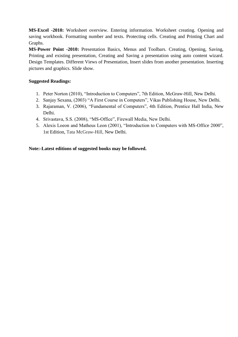**MS-Excel -2010:** Worksheet overview. Entering information. Worksheet creating. Opening and saving workbook. Formatting number and texts. Protecting cells. Creating and Printing Chart and Graphs.

**MS-Power Point -2010:** Presentation Basics, Menus and Toolbars. Creating, Opening, Saving, Printing and existing presentation, Creating and Saving a presentation using auto content wizard. Design Templates. Different Views of Presentation, Insert slides from another presentation. Inserting pictures and graphics. Slide show.

# **Suggested Readings:**

- 1. Peter Norton (2010), "Introduction to Computers", 7th Edition, McGraw-Hill, New Delhi.
- 2. Sanjay Sexana, (2003) "A First Course in Computers", Vikas Publishing House, New Delhi.
- 3. Rajaraman, V. (2006), "Fundamental of Computers", 4th Edition, Prentice Hall India, New Delhi.
- 4. Srivastava, S.S. (2008), "MS-Office", Firewall Media, New Delhi.
- 5. Alexis Loeon and Matheus Leon (2001), "Introduction to Computers with MS-Office 2000", 1st Edition, Tata McGraw-Hill, New Delhi.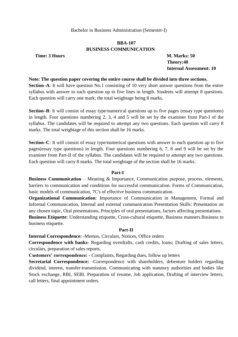# **BBA-107 BUSINESS COMMUNICATION**

**Time: 3 Hours M. Marks: 50** 

 **Theory:40 Internal Assessment: 10**

#### **Note: The question paper covering the entire course shall be divided into three sections.**

**Section–A**: It will have question No.1 consisting of 10 very short answer questions from the entire syllabus with answer to each question up to five lines in length. Students will attempt 8 questions. Each question will carry one mark; the total weightage being 8 marks.

**Section–B**: It will consist of essay type/numerical questions up to five pages (essay type questions) in length. Four questions numbering 2, 3, 4 and 5 will be set by the examiner from Part-I of the syllabus. The candidates will be required to attempt any two questions. Each question will carry 8 marks. The total weightage of this section shall be 16 marks.

**Section–C**: It will consist of essay type/numerical questions with answer to each question up to five pages(essay type questions) in length. Four questions numbering 6, 7, 8 and 9 will be set by the examiner from Part-II of the syllabus. The candidates will be required to attempt any two questions. Each question will carry 8 marks. The total weightage of the section shall be 16 marks.

# **Part-I**

**Business Communication** – Meaning & Importance, Communication purpose, process, elements, barriers to communication and conditions for successful communication. Forms of Communication, basic models of communication, 7C's of effective business communication.

**Organizational Communication**: Importance of Communication in Management, Formal and Informal Communication, Internal and external communication Presentation Skills: Presentation on any chosen topic, Oral presentations, Principles of oral presentations, factors affecting presentations. **Business Etiquette**: Understanding etiquette, Cross-cultural etiquette, Business manners.Business to business etiquette.

#### **Part-II**

**Internal Correspondence:** -Memos, Circulars, Notices, Office orders

**Correspondence with banks-** Regarding overdrafts, cash credits, loans; Drafting of sales letters, circulars, preparation of sales reports,

**Customers' correspondence: -** Complaints, Regarding dues, follow up letters

**Secretarial Correspondence:** -Correspondence with shareholders, debenture holders regarding dividend, interest, transfer-transmission. Communicating with statutory authorities and bodies like Stock exchange, RBI, SEBI. Preparation of resume, Job application, Drafting of interview letters, call letters, final appointment orders.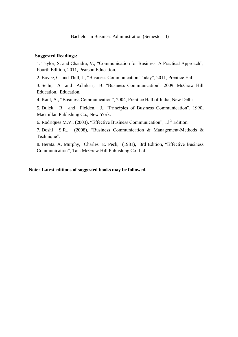#### **Suggested Readings:**

1. Taylor, S. and Chandra, V., "Communication for Business: A Practical Approach", Fourth Edition, 2011, Pearson Education.

2. Bovee, C. and Thill, J., "Business Communication Today", 2011, Prentice Hall.

3. Sethi, A and Adhikari, B. "Business Communication", 2009, McGraw Hill Education. Education.

4. Kaul, A., "Business Communication", 2004, Prentice Hall of India, New Delhi.

5. Dulek, R. and Fielden, J., "Principles of Business Communication", 1990, Macmillan Publishing Co., New York.

6. Rodriques M.V., (2003), "Effective Business Communication",  $13<sup>th</sup>$  Edition.

7. Doshi S.R., (2008), "Business Communication & Management-Methods & Technique".

8. Herata. A. Murphy, Charles E. Peck, (1981), 3rd Edition, "Effective Business Communication", Tata McGraw Hill Publishing Co. Ltd.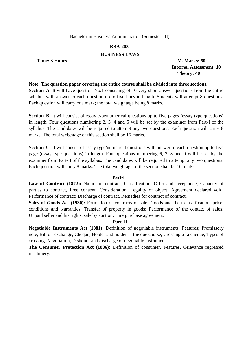# **BBA-203**

# **BUSINESS LAWS**

**Time: 3 Hours M. Marks: 50** 

 **Internal Assessment: 10 Theory: 40**

#### **Note: The question paper covering the entire course shall be divided into three sections.**

**Section–A**: It will have question No.1 consisting of 10 very short answer questions from the entire syllabus with answer to each question up to five lines in length. Students will attempt 8 questions. Each question will carry one mark; the total weightage being 8 marks.

**Section–B**: It will consist of essay type/numerical questions up to five pages (essay type questions) in length. Four questions numbering 2, 3, 4 and 5 will be set by the examiner from Part-I of the syllabus. The candidates will be required to attempt any two questions. Each question will carry 8 marks. The total weightage of this section shall be 16 marks.

**Section–C**: It will consist of essay type/numerical questions with answer to each question up to five pages(essay type questions) in length. Four questions numbering 6, 7, 8 and 9 will be set by the examiner from Part-II of the syllabus. The candidates will be required to attempt any two questions. Each question will carry 8 marks. The total weightage of the section shall be 16 marks.

# **Part-I**

Law of Contract (1872): Nature of contract, Classification, Offer and acceptance, Capacity of parties to contract, Free consent; Consideration, Legality of object, Agreement declared void, Performance of contract: Discharge of contract, Remedies for contract of contract.

**Sales of Goods Act (1930):** Formation of contracts of sale; Goods and their classification, price; conditions and warranties, Transfer of property in goods; Performance of the contact of sales; Unpaid seller and his rights, sale by auction; Hire purchase agreement.

# **Part-II**

**Negotiable Instruments Act (1881)**: Definition of negotiable instruments, Features; Promissory note, Bill of Exchange, Cheque, Holder and holder in the due course, Crossing of a cheque, Types of crossing. Negotiation, Dishonor and discharge of negotiable instrument.

**The Consumer Protection Act (1886):** Definition of consumer, Features, Grievance regressed machinery.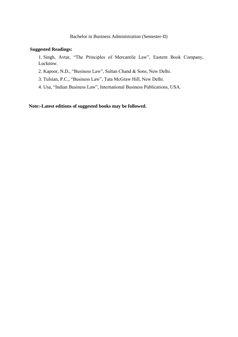#### **Suggested Readings:**

1. Singh, Avtar, "The Principles of Mercantile Law", Eastern Book Company, Lucknow.

2. Kapoor, N.D., "Business Law", Sultan Chand & Sons, New Delhi.

3. Tulsian, P.C., "Business Law", Tata McGraw Hill, New Delhi.

4. Usa, "Indian Business Law", International Business Publications, USA.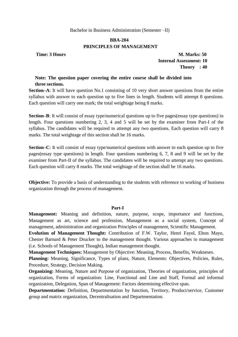# **BBA-204 PRINCIPLES OF MANAGEMENT**

**Time: 3 Hours M. Marks: 50** 

 **Internal Assessment: 10 Theory : 40**

# **Note: The question paper covering the entire course shall be divided into three sections.**

**Section–A**: It will have question No.1 consisting of 10 very short answer questions from the entire syllabus with answer to each question up to five lines in length. Students will attempt 8 questions. Each question will carry one mark; the total weightage being 8 marks.

**Section–B**: It will consist of essay type/numerical questions up to five pages(essay type questions) in length. Four questions numbering 2, 3, 4 and 5 will be set by the examiner from Part-I of the syllabus. The candidates will be required to attempt any two questions. Each question will carry 8 marks. The total weightage of this section shall be 16 marks.

**Section–C**: It will consist of essay type/numerical questions with answer to each question up to five pages(essay type questions) in length. Four questions numbering 6, 7, 8 and 9 will be set by the examiner from Part-II of the syllabus. The candidates will be required to attempt any two questions. Each question will carry 8 marks. The total weightage of the section shall be 16 marks.

**Objective:** To provide a basis of understanding to the students with reference to working of business organization through the process of management.

#### **Part-I**

**Management:** Meaning and definition, nature, purpose, scope, importance and functions, Management as art, science and profession, Management as a social system, Concept of management, administration and organization Principles of management, Scientific Management.

**Evolution of Management Thought:** Contribution of F.W. Taylor, Henri Fayol, Elton Mayo, Chester Barnard & Peter Drucker to the management thought. Various approaches to management (i.e. Schools of Management Thought), Indian management thought.

**Management Techniques:** Management by Objective: Meaning, Process, Benefits, Weakneses.

**Planning:** Meaning, Significance, Types of plans, Nature, Elements: Objectives, Policies, Rules, Procedure, Strategy, Decision Making.

**Organizing:** Meaning, Nature and Purpose of organization, Theories of organization, principles of organization, Forms of organization: Line, Functional and Line and Staff, Formal and informal organization, Delegation, Span of Management: Factors determining effective span.

**Departmentation:** Definition, Departmentation by function, Territory, Product/service, Customer group and matrix organization, Decentralisation and Departmentation.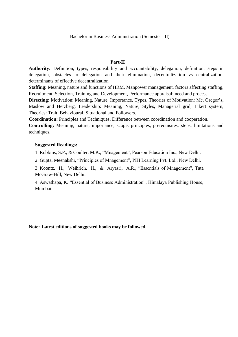#### **Part-II**

**Authority:** Definition, types, responsibility and accountability, delegation; definition, steps in delegation, obstacles to delegation and their elimination, decentralization vs centralization, determinants of effective decentralization

**Staffing:** Meaning, nature and functions of HRM, Manpower management, factors affecting staffing, Recruitment, Selection, Training and Development, Performance appraisal: need and process.

**Directing:** Motivation: Meaning, Nature, Importance, Types, Theories of Motivation: Mc. Gregor's, Maslow and Herzberg. Leadership: Meaning, Nature, Styles, Managerial grid, Likert system, Theories: Trait, Behavioural, Situational and Followers.

**Coordination:** Principles and Techniques, Difference between coordination and cooperation.

**Controlling:** Meaning, nature, importance, scope, principles, prerequisites, steps, limitations and techniques.

# **Suggested Readings:**

1. Robbins, S.P., & Coulter, M.K., "Mnagement", Pearson Education Inc., New Delhi.

2. Gupta, Meenakshi, "Principles of Mnagement", PHI Learning Pvt. Ltd., New Delhi.

3. Koontz, H., Weihrich, H., & Aryasri, A.R., "Essentials of Mnagement", Tata McGraw-Hill, New Delhi.

4. Aswathapa, K. "Essential of Business Administration", Himalaya Publishing House, Mumbai.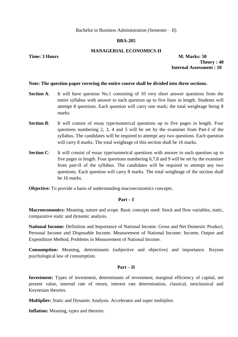# **BBA-205**

# **MANAGERIAL ECONOMICS-II**

**Time: 3 Hours M. Marks: 50 Theory : 40 Internal Assessment : 10** 

#### **Note: The question paper covering the entire course shall be divided into three sections.**

- **Section A:** It will have question No.1 consisting of 10 very short answer questions from the entire syllabus with answer to each question up to five lines in length. Students will attempt 8 questions. Each question will carry one mark; the total weightage being 8 marks.
- **Section B**: It will consist of essay type/numerical questions up to five pages in length. Four questions numbering 2, 3, 4 and 5 will be set by the examiner from Part-I of the syllabus. The candidates will be required to attempt any two questions. Each question will carry 8 marks. The total weightage of this section shall be 16 marks.
- **Section C:** It will consist of essay type/numerical questions with answer to each question up to five pages in length. Four questions numbering 6,7,8 and 9 will be set by the examiner from part-II of the syllabus. The candidates will be required to attempt any two questions. Each question will carry 8 marks. The total weightage of the section shall be 16 marks.

**Objective:** To provide a basis of understanding macroeconomics concepts.

# **Part – I**

**Macroeconomics:** Meaning, nature and scope. Basic concepts used: Stock and flow variables, static, comparative static and dynamic analysis.

**National Income:** Definition and Importance of National Income. Gross and Net Domestic Product; Personal Income and Disposable Income. Measurement of National Income: Income, Output and Expenditure Method, Problems in Measurement of National Income.

**Consumption:** Meaning, determinants (subjective and objective) and importance. Keynes psychological law of consumption.

# **Part – II**

**Investment:** Types of investment, determinants of investment, marginal efficiency of capital, net present value, internal rate of return, interest rate determination, classical, neoclassical and Keynesian theories.

**Multiplier:** Static and Dynamic Analysis. Accelerator and super multiplier.

**Inflation:** Meaning, types and theories.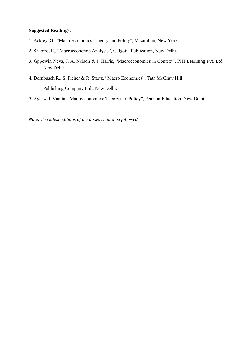# **Suggested Readings:**

- 1. Ackley, G., "Macroeconomics: Theory and Policy", Macmillan, New York.
- 2. Shapiro, E., "Macroeconomic Analysis", Galgotia Publication, New Delhi.
- 3. Gppdwin Neva, J. A. Nelson & J. Harris, "Macroeconomics in Context", PHI Learining Pvt. Ltd, New Delhi.
- 4. Dornbusch R., S. Ficher & R. Startz, "Macro Economics", Tata McGraw Hill Publishing Company Ltd., New Delhi.
- 5. Agarwal, Vanita, "Macroeconomics: Theory and Policy", Pearson Education, New Delhi.

*Note: The latest editions of the books should be followed.*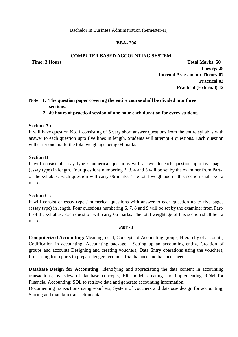# **BBA- 206**

# **COMPUTER BASED ACCOUNTING SYSTEM**

**Time: 3 Hours Total Marks: 50 Theory: 28 Internal Assessment: Theory 07 Practical 03 Practical (External) 12**

# **Note: 1. The question paper covering the entire course shall be divided into three sections.**

**2. 40 hours of practical session of one hour each duration for every student.**

# **Section-A :**

It will have question No. 1 consisting of 6 very short answer questions from the entire syllabus with answer to each question upto five lines in length. Students will attempt 4 questions. Each question will carry one mark; the total weightage being 04 marks.

# **Section B :**

It will consist of essay type / numerical questions with answer to each question upto five pages (essay type) in length. Four questions numbering 2, 3, 4 and 5 will be set by the examiner from Part-I of the syllabus. Each question will carry 06 marks. The total weightage of this section shall be 12 marks.

# **Section C :**

It will consist of essay type / numerical questions with answer to each question up to five pages (essay type) in length. Four questions numbering 6, 7, 8 and 9 will be set by the examiner from Part-II of the syllabus. Each question will carry 06 marks. The total weightage of this section shall be 12 marks.

# *Part -* **I**

**Computerized Accounting:** Meaning, need, Concepts of Accounting groups, Hierarchy of accounts, Codification in accounting. Accounting package - Setting up an accounting entity, Creation of groups and accounts Designing and creating vouchers; Data Entry operations using the vouchers, Processing for reports to prepare ledger accounts, trial balance and balance sheet.

**Database Design for Accounting:** Identifying and appreciating the data content in accounting transactions; overview of database concepts, ER model; creating and implementing RDM for Financial Accounting; SQL to retrieve data and generate accounting information.

Documenting transactions using vouchers; System of vouchers and database design for accounting; Storing and maintain transaction data.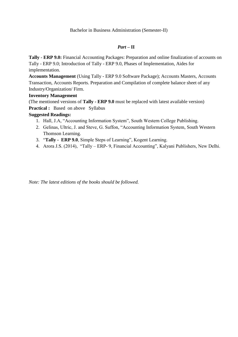# *Part –* **II**

**Tally** - **ERP 9.0:** Financial Accounting Packages: Preparation and online finalization of accounts on Tally - ERP 9.0; Introduction of Tally - ERP 9.0, Phases of Implementation, Aides for implementation.

**Accounts Management** (Using Tally - ERP 9.0 Software Package); Accounts Masters, Accounts Transaction, Accounts Reports. Preparation and Compilation of complete balance sheet of any Industry/Organization/ Firm.

# **Inventory Management**

(The mentioned versions of **Tally - ERP 9.0** must be replaced with latest available version)

**Practical :** Based on above Syllabus

# **Suggested Readings:**

- 1. Hall, J.A, "Accounting Information System", South Western College Publishing.
- 2. Gelinas, Ultric, J. and Steve, G. Suffon, "Accounting Information System, South Western Thomson Learning.
- 3. **"Tally ERP 9.0**, Simple Steps of Learning", Kogent Learning.
- 4. Arora J.S. (2014), "Tally ERP- 9, Financial Accounting", Kalyani Publishers, New Delhi.

*Note: The latest editions of the books should be followed.*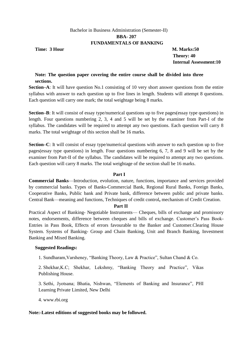# Bachelor in Business Administration (Semester-II) **BBA- 207 FUNDAMENTALS OF BANKING**

**Time: 3 Hour M. Marks:50** 

 **Theory: 40 Internal Assessment:10**

# **Note: The question paper covering the entire course shall be divided into three sections.**

**Section–A**: It will have question No.1 consisting of 10 very short answer questions from the entire syllabus with answer to each question up to five lines in length. Students will attempt 8 questions. Each question will carry one mark; the total weightage being 8 marks.

**Section–B**: It will consist of essay type/numerical questions up to five pages(essay type questions) in length. Four questions numbering 2, 3, 4 and 5 will be set by the examiner from Part-I of the syllabus. The candidates will be required to attempt any two questions. Each question will carry 8 marks. The total weightage of this section shall be 16 marks.

**Section–C**: It will consist of essay type/numerical questions with answer to each question up to five pages(essay type questions) in length. Four questions numbering 6, 7, 8 and 9 will be set by the examiner from Part-II of the syllabus. The candidates will be required to attempt any two questions. Each question will carry 8 marks. The total weightage of the section shall be 16 marks.

# **Part I**

**Commercial Banks**—Introduction, evolution, nature, functions, importance and services provided by commercial banks. Types of Banks-Commercial Bank, Regional Rural Banks, Foreign Banks, Cooperative Banks, Public bank and Private bank, difference between public and private banks. Central Bank—meaning and functions, Techniques of credit control**,** mechanism of Credit Creation.

# **Part II**

Practical Aspect of Banking- Negotiable Instruments— Cheques, bills of exchange and promissory notes, endorsements, difference between cheques and bills of exchange. Customer's Pass Book-Entries in Pass Book, Effects of errors favourable to the Banker and Customer.Clearing House System. Systems of Banking- Group and Chain Banking, Unit and Branch Banking, Investment Banking and Mixed Banking.

# **Suggested Readings:**

1. Sundharam, Varsheney, "Banking Theory, Law & Practice", Sultan Chand & Co.

2. Shekhar, K.C; Shekhar, Lekshmy, "Banking Theory and Practice", Vikas Publishing House.

3. Sethi, Jyotsana; Bhatia, Nishwan, "Elements of Banking and Insurance", PHI Learning Private Limited, New Delhi

4. www.rbi.org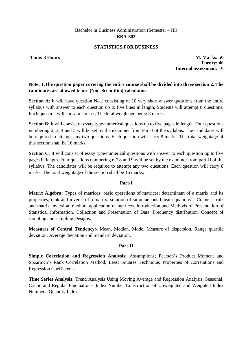# **STATISTICS FOR BUSINESS**

**Time: 3 Hours M. Marks: 50 Theory: 40 Internal assessment: 10**

# **Note: 1.The question paper covering the entire course shall be divided into three section 2. The candidates are allowed to use [Non-Scientific)] calculator.**

**Section A**: It will have question No.1 consisting of 10 very short answer questions from the entire syllabus with answer to each question up to five lines in length. Students will attempt 8 questions. Each question will carry one mark; The total weightage being 8 marks.

**Section B**: It will consist of essay type/numerical questions up to five pages in length. Four questions numbering 2, 3, 4 and 5 will be set by the examiner from Part-I of the syllabus. The candidates will be required to attempt any two questions. Each question will carry 8 marks. The total weightage of this section shall be 16 marks.

**Section C**: It will consist of essay type/numerical questions with answer to each question up to five pages in length. Four questions numbering 6,7,8 and 9 will be set by the examiner from part-II of the syllabus. The candidates will be required to attempt any two questions. Each question will carry 8 marks. The total weightage of the section shall be 16 marks.

# **Part-I**

**Matrix Algebra:** Types of matrices; basic operations of matrices; determinant of a matrix and its properties; rank and inverse of a matrix; solution of simultaneous linear equations – Cramer's rule and matrix inversion, method, application of matrices. Introduction and Methods of Presentation of Statistical Information, Collection and Presentation of Data. Frequency distribution. Concept of sampling and sampling Designs.

**Measures of Central Tendency**:- Mean, Median, Mode, Measure of dispersion. Range quartile deviation, Average deviation and Standard deviation.

# **Part-II**

**Simple Correlation and Regression Analysis:** Assumptions; Pearson's Product Moment and Spearmen's Rank Correlation Method; Least Squares Technique; Properties of Correlations and Regression Coefficients.

**Time Series Analysis:** Trend Analysis Using Moving Average and Regression Analysis, Seasonal, Cyclic and Regular Fluctuations, Index Number Construction of Unweighted and Weighted Index Numbers, Quantity Index.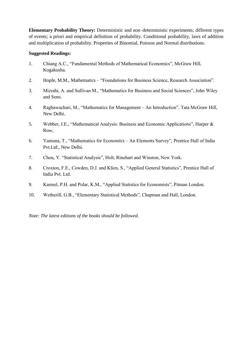**Elementary Probability Theory:** Deterministic and non–deterministic experiments; different types of events; a priori and empirical definition of probability. Conditional probability, laws of addition and multiplication of probability. Properties of Binomial, Poisson and Normal distributions.

# **Suggested Readings:**

- 1. Chiang A.C., "Fundamental Methods of Mathematical Economics", McGraw Hill, Kogakusha.
- 2. Hopfe, M.M., Mathematics "Foundations for Business Science, Research Association".
- 3. Mizrahi, A. and Sullivan M., "Mathematics for Business and Social Sciences", John Wiley and Sons.
- 4. Raghawachari, M., "Mathematics for Management An Introduction", Tata McGraw Hill, New Delhi.
- 5. Webber, J.E., "Mathematical Analysis: Business and Economic Applications", Harper & Row,
- 6. Yamuna, T., "Mathematics for Economics An Elements Survey", Prentice Hall of India Pvt.Ltd., New Delhi.
- 7. Chou, Y. "Statistical Analysis", Holt, Rinehart and Winston, New York.
- 8. Croxton, F.E., Cowden, D.J. and Klien, S., "Applied General Statistics", Prentice Hall of India Pvt. Ltd.
- 9. Karmel, P.H. and Polar, K.M., "Applied Statistics for Economists", Pitman London.
- 10. Wetherill, G.B., "Elementary Statistical Methods", Chapman and Hall, London.

*Note: The latest editions of the books should be followed.*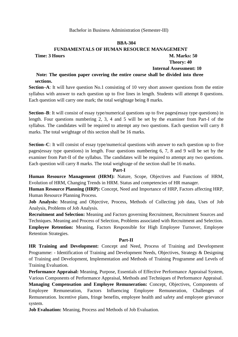#### **BBA-304**

# **FUNDAMENTALS OF HUMAN RESOURCE MANAGEMENT Time: 3 Hours M. Marks: 50 Theory: 40**

# **Internal Assessment: 10**

# **Note: The question paper covering the entire course shall be divided into three sections.**

**Section–A**: It will have question No.1 consisting of 10 very short answer questions from the entire syllabus with answer to each question up to five lines in length. Students will attempt 8 questions. Each question will carry one mark; the total weightage being 8 marks.

**Section–B**: It will consist of essay type/numerical questions up to five pages(essay type questions) in length. Four questions numbering 2, 3, 4 and 5 will be set by the examiner from Part-I of the syllabus. The candidates will be required to attempt any two questions. Each question will carry 8 marks. The total weightage of this section shall be 16 marks.

**Section–C**: It will consist of essay type/numerical questions with answer to each question up to five pages(essay type questions) in length. Four questions numbering 6, 7, 8 and 9 will be set by the examiner from Part-II of the syllabus. The candidates will be required to attempt any two questions. Each question will carry 8 marks. The total weightage of the section shall be 16 marks.

# **Part-I**

**Human Resource Management (HRM):** Nature, Scope, Objectives and Functions of HRM, Evolution of HRM, Changing Trends in HRM. Status and competencies of HR manager.

**Human Resource Planning (HRP):** Concept, Need and Importance of HRP, Factors affecting HRP, Human Resource Planning Process.

**Job Analysis:** Meaning and Objective, Process, Methods of Collecting job data, Uses of Job Analysis, Problems of Job Analysis.

**Recruitment and Selection:** Meaning and Factors governing Recruitment, Recruitment Sources and Techniques. Meaning and Process of Selection, Problems associated with Recruitment and Selection. **Employee Retention:** Meaning, Factors Responsible for High Employee Turnover, Employee

Retention Strategies.

# **Part-II**

**HR Training and Development:** Concept and Need, Process of Training and Development Programme: - Identification of Training and Development Needs, Objectives, Strategy & Designing of Training and Development, Implementation and Methods of Training Programme and Levels of Training Evaluation.

**Performance Appraisal:** Meaning, Purpose, Essentials of Effective Performance Appraisal System, Various Components of Performance Appraisal, Methods and Techniques of Performance Appraisal.

**Managing Compensation and Employee Remuneration:** Concept, Objectives, Components of Employee Remuneration, Factors Influencing Employee Remuneration, Challenges of Remuneration. Incentive plans, fringe benefits, employee health and safety and employee grievance system.

**Job Evaluation:** Meaning, Process and Methods of Job Evaluation.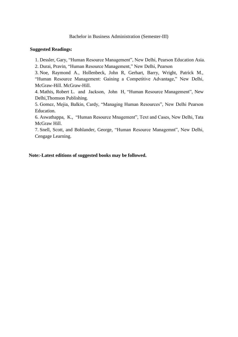#### **Suggested Readings:**

1. Dessler, Gary, "Human Resource Management", New Delhi, Pearson Education Asia.

2. Durai, Pravin, "Human Resource Management," New Delhi, Pearson

3. Noe, Raymond A., Hollenbeck, John R, Gerhart, Barry, Wright, Patrick M., "Human Resource Management: Gaining a Competitive Advantage," New Delhi, McGraw-Hill. McGraw-Hill.

4. Mathis, Robert L. and Jackson, John H, "Human Resource Management", New Delhi,Thomson Publishing.

5. Gomez, Mejia, Balkin, Cardy, "Managing Human Resources", New Delhi Pearson Education.

6. Aswathappa, K., "Human Resource Mnagement", Text and Cases, New Delhi, Tata McGraw Hill.

7. Snell, Scott, and Bohlander, George, "Human Resource Managemnt", New Delhi, Cengage Learning.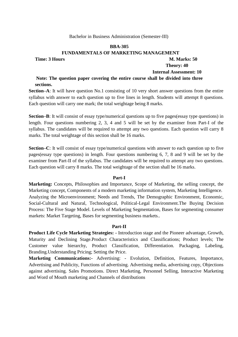#### **BBA-305**

#### **FUNDAMENTALS OF MARKETING MANAGEMENT**

#### **Time: 3 Hours M. Marks: 50**

# **Theory: 40**

# **Internal Assessment: 10**

# **Note: The question paper covering the entire course shall be divided into three sections.**

**Section–A**: It will have question No.1 consisting of 10 very short answer questions from the entire syllabus with answer to each question up to five lines in length. Students will attempt 8 questions. Each question will carry one mark; the total weightage being 8 marks.

**Section–B**: It will consist of essay type/numerical questions up to five pages(essay type questions) in length. Four questions numbering 2, 3, 4 and 5 will be set by the examiner from Part-I of the syllabus. The candidates will be required to attempt any two questions. Each question will carry 8 marks. The total weightage of this section shall be 16 marks.

**Section–C**: It will consist of essay type/numerical questions with answer to each question up to five pages(essay type questions) in length. Four questions numbering 6, 7, 8 and 9 will be set by the examiner from Part-II of the syllabus. The candidates will be required to attempt any two questions. Each question will carry 8 marks. The total weightage of the section shall be 16 marks.

#### **Part-I**

**Marketing:** Concepts, Philosophies and Importance, Scope of Marketing, the selling concept, the Marketing concept, Components of a modern marketing information system, Marketing Intelligence. Analyzing the Microenvironment; Needs and Trends, The Demographic Environment, Economic, Social-Cultural and Natural, Technological, Political-Legal Environment.The Buying Decision Process: The Five Stage Model. Levels of Marketing Segmentation, Bases for segmenting consumer markets: Market Targeting, Bases for segmenting business markets..

#### **Part-II**

**Product Life Cycle Marketing Strategies: -** Introduction stage and the Pioneer advantage, Growth, Maturity and Declining Stage.Product Characteristics and Classifications; Product levels; The Customer value hierarchy, Product Classification, Differentiation. Packaging, Labeling, Branding.Understanding Pricing; Setting the Price.

**Marketing Communications:-** Advertising: - Evolution, Definition, Features, Importance, Advertising and Publicity, Functions of advertising. Advertising media, advertising copy, Objections against advertising. Sales Promotions. Direct Marketing, Personnel Selling, Interactive Marketing and Word of Mouth marketing and Channels of distributions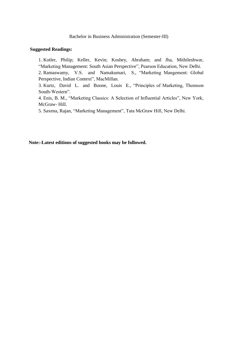#### **Suggested Readings:**

1. Kotler, Philip; Keller, Kevin; Koshey, Abraham; and Jha, Mithileshwar, "Marketing Management: South Asian Perspective", Pearson Education, New Delhi. 2. Ramaswamy, V.S. and Namakumari, S., "Marketing Mangement: Global Perspective, Indian Context", MacMillan.

3. Kurtz, David L. and Boone, Louis E., "Principles of Marketing, Thomson South-Western".

4. Enis, B. M., "Marketing Classics: A Selection of Influential Articles", New York, McGraw- Hill.

5. Saxena, Rajan, "Marketing Management", Tata McGraw Hill, New Delhi.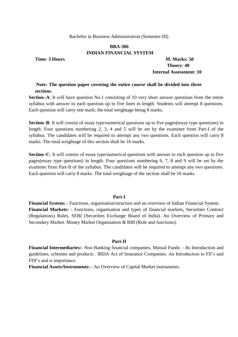# **BBA-306 INDIAN FINANCIAL SYSTEM**

**Time: 3 Hours M. Marks: 50 Theory: 40 Internal Assessment: 10**

# **Note: The question paper covering the entire course shall be divided into three sections.**

**Section–A**: It will have question No.1 consisting of 10 very short answer questions from the entire syllabus with answer to each question up to five lines in length. Students will attempt 8 questions. Each question will carry one mark; the total weightage being 8 marks.

**Section–B**: It will consist of essay type/numerical questions up to five pages(essay type questions) in length. Four questions numbering 2, 3, 4 and 5 will be set by the examiner from Part-I of the syllabus. The candidates will be required to attempt any two questions. Each question will carry 8 marks. The total weightage of this section shall be 16 marks.

**Section–C**: It will consist of essay type/numerical questions with answer to each question up to five pages(essay type questions) in length. Four questions numbering 6, 7, 8 and 9 will be set by the examiner from Part-II of the syllabus. The candidates will be required to attempt any two questions. Each question will carry 8 marks. The total weightage of the section shall be 16 marks.

#### **Part-I**

**Financial System: -** Functions, organisation/structure and an overview of Indian Financial System. **Financial Markets: -** Functions, organisation and types of financial markets, Securities Contract (Regulations) Rules, SEBI (Securities Exchange Board of India). An Overview of Primary and Secondary Market. Money Market Organisation & RBI (Role and functions).

# **Part-II**

**Financial Intermediaries:-** Non Banking financial companies, Mutual Funds: - Its Introduction and guidelines, schemes and products . IRDA Act of Insurance Companies. An Introduction to FII's and FDI's and is importance.

**Financial Assets/Instruments: -** An Overview of Capital Market instruments.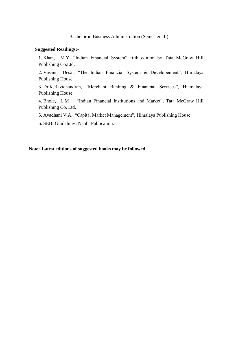#### **Suggested Readings:-**

1. Khan, M.Y, "Indian Financial System" fifth edition by Tata McGraw Hill Publishing Co.Ltd.

2. Vasant Desai, "The Indian Financial System & Developement", Himalaya Publishing House.

3. Dr.K.Ravichandran, "Merchant Banking & Financial Services", Hiamalaya Publishing House.

4. Bhole, L.M , "Indian Financial Institutions and Market", Tata McGraw Hill Publishing Co. Ltd.

5. Avadhani V.A., "Capital Market Management", Himalaya Publishing House.

6. SEBI Guidelines, Nabhi Publication.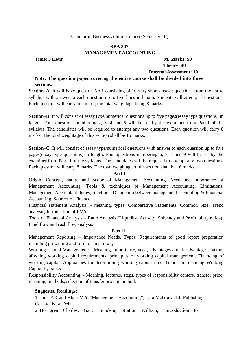# **BBA 307 MANAGEMENT ACCOUNTING**

# **Time: 3 Hour M. Marks: 50 Theory: 40 Internal Assessment: 10**

# **Note: The question paper covering the entire course shall be divided into three sections.**

**Section–A**: It will have question No.1 consisting of 10 very short answer questions from the entire syllabus with answer to each question up to five lines in length. Students will attempt 8 questions. Each question will carry one mark; the total weightage being 8 marks.

**Section–B**: It will consist of essay type/numerical questions up to five pages(essay type questions) in length. Four questions numbering 2, 3, 4 and 5 will be set by the examiner from Part-I of the syllabus. The candidates will be required to attempt any two questions. Each question will carry 8 marks. The total weightage of this section shall be 16 marks.

**Section–C**: It will consist of essay type/numerical questions with answer to each question up to five pages(essay type questions) in length. Four questions numbering 6, 7, 8 and 9 will be set by the examiner from Part-II of the syllabus. The candidates will be required to attempt any two questions. Each question will carry 8 marks. The total weightage of the section shall be 16 marks.

# **Part-I**

Origin, Concept, nature and Scope of Management Accounting. Need and Importance of Management Accounting, Tools & techniques of Management Accounting, Limitations, Management Accountant duties, functions, Distinction between management accounting & Financial Accounting. Sources of Finance

Financial statement Analysis: - meaning, types, Comparative Statements, Common Size, Trend analysis, Introduction of EVA.

Tools of Financial Analysis – Ratio Analysis (Liquidity, Activity, Solvency and Profitability ratios), Fund flow and cash flow analysis

# **Part-II**

Management Reporting – Importance Needs, Types, Requirements of good report preparation including prewriting and form of final draft,

Working Capital Management: - Meaning, importance, need, advantages and disadvantages, factors affecting working capital requirements, principles of working capital management, Financing of working capital, Approaches for determining working capital mix, Trends in financing Working Capital by banks.

Responsibility Accounting: - Meaning, features, steps, types of responsibility centers, transfer price; meaning, methods, selection of transfer pricing method.

# **Suggested Readings:**

1. Jain, P.K and Khan M.Y "Management Accounting", Tata McGraw Hill Publishing Co. Ltd. New Delhi.

2. Horngren Charles, Gary, Sundem, Stratton William, "Introduction to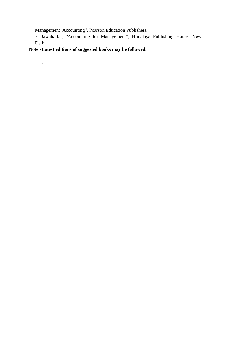Management Accounting", Pearson Education Publishers.

3. Jawaharlal, "Accounting for Management", Himalaya Publishing House, New Delhi.

**Note:-Latest editions of suggested books may be followed.**

*.*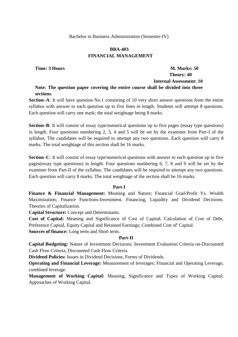## **BBA-403 FINANCIAL MANAGEMENT**

## **Time: 3 Hours M. Marks: 50 Theory: 40 Internal Assessment: 10**

**Note: The question paper covering the entire course shall be divided into three sections.**

**Section–A**: It will have question No.1 consisting of 10 very short answer questions from the entire syllabus with answer to each question up to five lines in length. Students will attempt 8 questions. Each question will carry one mark; the total weightage being 8 marks.

**Section–B**: It will consist of essay type/numerical questions up to five pages (essay type questions) in length. Four questions numbering 2, 3, 4 and 5 will be set by the examiner from Part-I of the syllabus. The candidates will be required to attempt any two questions. Each question will carry 8 marks. The total weightage of this section shall be 16 marks.

**Section–C**: It will consist of essay type/numerical questions with answer to each question up to five pages(essay type questions) in length. Four questions numbering 6, 7, 8 and 9 will be set by the examiner from Part-II of the syllabus. The candidates will be required to attempt any two questions. Each question will carry 8 marks. The total weightage of the section shall be 16 marks.

## **Part-I**

**Finance & Financial Management:** Meaning and Nature; Financial Goal-Profit Vs. Wealth Maximization; Finance Functions-Investment, Financing, Liquidity and Dividend Decisions. Theories of Capitalization.

**Capital Structure:** Concept and Determinants.

**Cost of Capital:** Meaning and Significance of Cost of Capital; Calculation of Cost of Debt, Preference Capital, Equity Capital and Retained Earnings; Combined Cost of' Capital.

**Sources of finance:** Long term and Short term.

## **Part-II**

**Capital Budgeting:** Nature of Investment Decisions; Investment Evaluation Criteria on-Discounted Cash Flow Criteria, Discounted Cash Flow Criteria.

**Dividend Policies:** Issues in Dividend Decisions, Forms of Dividends.

**Operating and Financial Leverage:** Measurement of leverages; Financial and Operating Leverage, combined leverage.

**Management of Working Capital:** Meaning, Significance and Types of Working Capital; Approaches of Working Capital.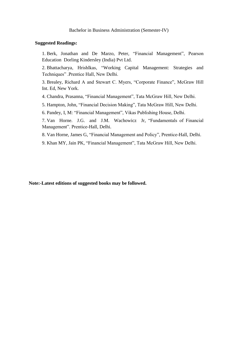## **Suggested Readings:**

1. Berk, Jonathan and De Marzo, Peter, "Financial Management", Pearson Education Dorling Kindersley (India) Pvt Ltd.

2. Bhattacharya, Hrishlkas, "Working Capital Management: Strategies and Techniques" .Prentice Hall, New Delhi.

3. Brealey, Richard A and Stewart C. Myers, "Corporate Finance", McGraw Hill Int. Ed, New York.

4. Chandra, Prasanna, "Financial Management", Tata McGraw Hill, New Delhi.

5. Hampton, John, "Financial Decision Making", Tata McGraw Hill, New Delhi.

6. Pandey, I, M: "Financial Management", Vikas Publishing House, Delhi.

7. Van Horne. J.G. and J.M. Wachowicz Jr, "Fundamentals of Financial Management". Prentice-Hall, Delhi.

8. Van Horne, James G, "Financial Management and Policy", Prentice-Hall, Delhi.

9. Khan MY, Jain PK, "Financial Management", Tata McGraw Hill, New Delhi.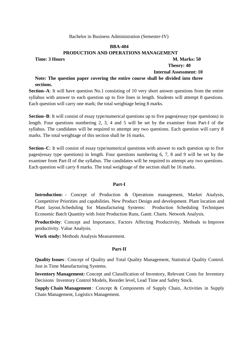#### **BBA-404**

#### **PRODUCTION AND OPERATIONS MANAGEMENT**

## **Time: 3 Hours M. Marks: 50 Theory: 40**

 **Internal Assessment: 10**

## **Note: The question paper covering the entire course shall be divided into three sections.**

**Section–A**: It will have question No.1 consisting of 10 very short answer questions from the entire syllabus with answer to each question up to five lines in length. Students will attempt 8 questions. Each question will carry one mark; the total weightage being 8 marks.

**Section–B**: It will consist of essay type/numerical questions up to five pages(essay type questions) in length. Four questions numbering 2, 3, 4 and 5 will be set by the examiner from Part-I of the syllabus. The candidates will be required to attempt any two questions. Each question will carry 8 marks. The total weightage of this section shall be 16 marks.

**Section–C**: It will consist of essay type/numerical questions with answer to each question up to five pages(essay type questions) in length. Four questions numbering 6, 7, 8 and 9 will be set by the examiner from Part-II of the syllabus. The candidates will be required to attempt any two questions. Each question will carry 8 marks. The total weightage of the section shall be 16 marks.

#### **Part-I**

**Introduction:** - Concept of Production & Operations management, Market Analysis, Competitive Priorities and capabilities. New Product Design and development. Plant location and Plant layout.Scheduling for Manufacturing Systems: Production Scheduling Techniques Economic Batch Quantity with Joint Production Runs, Gantt. Charts. Network Analysis.

**Productivity**: Concept and Importance, Factors Affecting Productivity, Methods to Improve productivity. Value Analysis.

**Work study:** Methods Analysis Measurement.

#### **Part-II**

**Quality Issues**: Concept of Quality and Total Quality Management, Statistical Quality Control. Just in Time Manufacturing Systems.

**Inventory Management:** Concept and Classification of Inventory, Relevant Costs for Inventory Decisions Inventory Control Models, Reorder level, Lead Time and Safety Stock.

**Supply Chain Management** : Concept & Components of Supply Chain, Activities in Supply Chain Management, Logistics Management.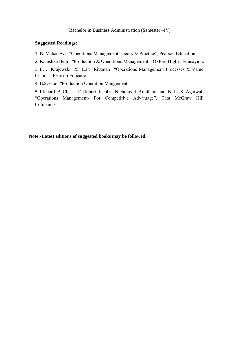## **Suggested Readings:**

1. B. Mahadevan "Operations Management Theory & Practice", Pearson Education.

2. Kanishka Bedi, "Production & Operations Management", Oxford Higher Educayion.

3. L.J. Krajewski & L.P. Ritzman "Operations Management Processes & Value Chains", Pearson Education.

4. B.S. Goel "Production Operation Mangement".

5. Richard B Chase, F Robert Jacobs, Nicholas J Aquilano and Nitin K Agarwal, "Operations Management- For Competitive Advantage", Tata McGraw Hill Companies.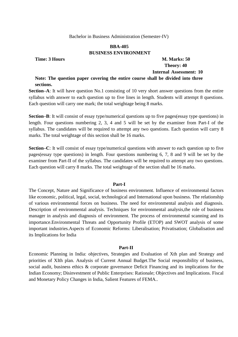## **BBA-405 BUSINESS ENVIRONMENT**

## **Time: 3 Hours M. Marks: 50 Theory: 40 Internal Assessment: 10**

## **Note: The question paper covering the entire course shall be divided into three sections.**

**Section–A**: It will have question No.1 consisting of 10 very short answer questions from the entire syllabus with answer to each question up to five lines in length. Students will attempt 8 questions. Each question will carry one mark; the total weightage being 8 marks.

**Section–B**: It will consist of essay type/numerical questions up to five pages(essay type questions) in length. Four questions numbering 2, 3, 4 and 5 will be set by the examiner from Part-I of the syllabus. The candidates will be required to attempt any two questions. Each question will carry 8 marks. The total weightage of this section shall be 16 marks.

**Section–C**: It will consist of essay type/numerical questions with answer to each question up to five pages(essay type questions) in length. Four questions numbering 6, 7, 8 and 9 will be set by the examiner from Part-II of the syllabus. The candidates will be required to attempt any two questions. Each question will carry 8 marks. The total weightage of the section shall be 16 marks.

#### **Part-I**

The Concept, Nature and Significance of business environment. Influence of environmental factors like economic, political, legal, social, technological and International upon business. The relationship of various environmental forces on business. The need for environmental analysis and diagnosis. Description of environmental analysis. Techniques for environmental analysis,the role of business manager in analysis and diagnosis of environment. The process of environmental scanning and its importance.Environmental Threats and Opportunity Profile (ETOP) and SWOT analysis of some important industries.Aspects of Economic Reforms: Liberalisation; Privatisation; Globalisation and its Implications for India

#### **Part-II**

Economic Planning in India: objectives, Strategies and Evaluation of Xth plan and Strategy and priorities of XIth plan. Analysis of Current Annual Budget.The Social responsibility of business, social audit, business ethics & corporate governance Deficit Financing and its implications for the Indian Economy; Disinvestment of Public Enterprises: Rationale; Objectives and Implications. Fiscal and Monetary Policy Changes in India, Salient Features of FEMA..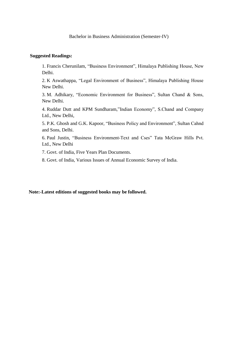## **Suggested Readings:**

1. Francis Cherunilam, "Business Environment", Himalaya Publishing House, New Delhi.

2. K Aswathappa, "Legal Environment of Business", Himalaya Publishing House New Delhi.

3. M. Adhikary, "Economic Environment for Business", Sultan Chand & Sons, New Delhi.

4. Ruddar Dutt and KPM Sundharam,"Indian Economy", S.Chand and Company Ltd., New Delhi,

5. P.K. Ghosh and G.K. Kapoor, "Business Policy and Environment", Sultan Cahnd and Sons, Delhi.

6. Paul Justin, "Business Environment-Text and Cses" Tata McGraw Hills Pvt. Ltd., New Delhi

7. Govt. of India, Five Years Plan Documents.

8. Govt. of India, Various Issues of Annual Economic Survey of India.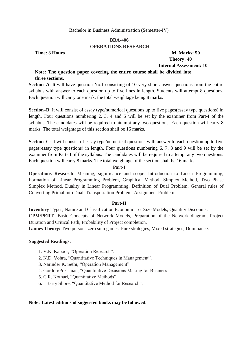## **BBA-406 OPERATIONS RESEARCH**

**Time: 3 Hours M. Marks: 50 Theory: 40 Internal Assessment: 10**

## **Note: The question paper covering the entire course shall be divided into three sections.**

**Section–A**: It will have question No.1 consisting of 10 very short answer questions from the entire syllabus with answer to each question up to five lines in length. Students will attempt 8 questions. Each question will carry one mark; the total weightage being 8 marks.

**Section–B**: It will consist of essay type/numerical questions up to five pages(essay type questions) in length. Four questions numbering 2, 3, 4 and 5 will be set by the examiner from Part-I of the syllabus. The candidates will be required to attempt any two questions. Each question will carry 8 marks. The total weightage of this section shall be 16 marks.

**Section–C**: It will consist of essay type/numerical questions with answer to each question up to five pages(essay type questions) in length. Four questions numbering 6, 7, 8 and 9 will be set by the examiner from Part-II of the syllabus. The candidates will be required to attempt any two questions. Each question will carry 8 marks. The total weightage of the section shall be 16 marks.

## **Part-I**

**Operations Research**: Meaning, significance and scope. Introduction to Linear Programming, Formation of Linear Programming Problem, Graphical Method, Simplex Method, Two Phase Simplex Method. Duality in Linear Programming, Definition of Dual Problem, General rules of Converting Primal into Dual. Transportation Problem, Assignment Problem.

## **Part-II**

**Inventory-**Types, Nature and Classification Economic Lot Size Models, Quantity Discounts. **CPM/PERT**- Basic Concepts of Network Models, Preparation of the Network diagram, Project Duration and Critical Path, Probability of Project completion.

**Games Theory:** Two persons zero sum games, Pure strategies, Mixed strategies, Dominance.

## **Suggested Readings:**

- 1. V.K. Kapoor, "Operation Research".
- 2. N.D. Vohra, "Quantitative Techniques in Management".
- 3. Narinder K. Sethi, "Operation Management"
- 4. Gordon/Pressman, "Quantitative Decisions Making for Business".
- 5. C.R. Kothari, "Ouantitative Methods"
- 6. Barry Shore, "Quantitative Method for Research".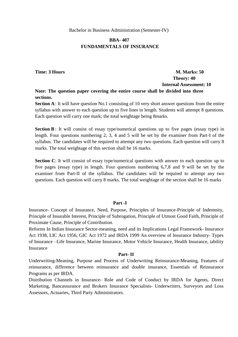## **BBA- 407 FUNDAMENTALS OF INSURANCE**

## **Time: 3 Hours M. Marks: 50 Theory: 40 Internal Assessment: 10 Note: The question paper covering the entire course shall be divided into three**

# **sections.**

**Section A**: It will have question No.1 consisting of 10 very short answer questions from the entire syllabus with answer to each question up to five lines in length. Students will attempt 8 questions. Each question will carry one mark; the total weightage being 8marks.

**Section B**: It will consist of essay type/numerical questions up to five pages (essay type) in length. Four questions numbering 2, 3, 4 and 5 will be set by the examiner from Part-I of the syllabus. The candidates will be required to attempt any two questions. Each question will carry 8 marks. The total weightage of this section shall be 16 marks.

**Section C**: It will consist of essay type/numerical questions with answer to each question up to five pages (essay type) in length. Four questions numbering 6,7,8 and 9 will be set by the examiner from Part-II of the syllabus. The candidates will be required to attempt any two questions. Each question will carry 8 marks. The total weightage of the section shall be 16 marks

## **Part -I**

Insurance- Concept of Insurance, Need, Purpose, Principles of Insurance-Principle of Indemnity, Principle of Insurable Interest, Principle of Subrogation, Principle of Utmost Good Faith, Principle of Proximate Cause, Principle of Contribution.

Reforms In Indian Insurance Sector-meaning, need and its Implications Legal Framework- Insurance Act 1938, LIC Act 1956, GIC Act 1972 and IRDA 1999 An overview of Insurance Industry- Types of Insurance –Life Insurance, Marine Insurance, Motor Vehicle Insurance, Health Insurance, iability Insurance

#### **Part- II**

Underwriting-Meaning, Purpose and Process of Underwriting Reinsurance-Meaning, Features of reinsurance, difference between reinsurance and double insurance, Essentials of Reinsurance Programs as per IRDA.

Distribution Channels in Insurance- Role and Code of Conduct by IRDA for Agents, Direct Marketing, Bancassurance and Brokers Insurance Specialists- Underwriters, Surveyors and Loss Assessors, Actuaries, Third Party Administrators.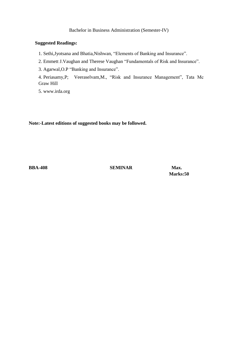## **Suggested Readings:**

1. Sethi,Jyotsana and Bhatia,Nishwan, "Elements of Banking and Insurance".

2. Emmett J.Vaughan and Therese Vaughan "Fundamentals of Risk and Insurance".

3. Agarwal, O.P "Banking and Insurance".

4. Periasamy, P; Veeraselvam, M., "Risk and Insurance Management", Tata Mc Graw Hill

5. www.irda.org

**Note:-Latest editions of suggested books may be followed.**

**BBA-408 SEMINAR Max.** 

**Marks:50**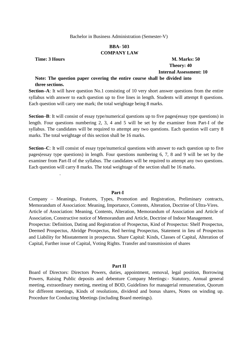## **BBA- 503 COMPANY LAW**

.

**Time: 3 Hours M. Marks: 50 Theory: 40 Internal Assessment: 10**

## **Note: The question paper covering the entire course shall be divided into three sections.**

**Section–A**: It will have question No.1 consisting of 10 very short answer questions from the entire syllabus with answer to each question up to five lines in length. Students will attempt 8 questions. Each question will carry one mark; the total weightage being 8 marks.

**Section–B**: It will consist of essay type/numerical questions up to five pages(essay type questions) in length. Four questions numbering 2, 3, 4 and 5 will be set by the examiner from Part-I of the syllabus. The candidates will be required to attempt any two questions. Each question will carry 8 marks. The total weightage of this section shall be 16 marks.

**Section–C**: It will consist of essay type/numerical questions with answer to each question up to five pages(essay type questions) in length. Four questions numbering 6, 7, 8 and 9 will be set by the examiner from Part-II of the syllabus. The candidates will be required to attempt any two questions. Each question will carry 8 marks. The total weightage of the section shall be 16 marks.

#### **Part-I**

Company – Meanings, Features, Types, Promotion and Registration, Preliminary contracts, Memorandum of Association: Meaning, Importance, Contents, Alteration, Doctrine of Ultra-Vires. Article of Association: Meaning, Contents, Alteration, Memorandum of Association and Article of Association, Constructive notice of Memorandum and Article, Doctrine of Indoor Management. Prospectus: Definition, Dating and Registration of Prospectus, Kind of Prospectus: Shelf Prospectus, Deemed Prospectus, Abridge Prospectus, Red herring Prospectus, Statement in lieu of Prospectus and Liability for Misstatement in prospectus. Share Capital: Kinds, Classes of Capital, Alteration of Capital, Further issue of Capital, Voting Rights. Transfer and transmission of shares

#### **Part II**

Board of Directors: Directors Powers, duties, appointment, removal, legal position, Borrowing Powers, Raising Public deposits and debenture Company Meetings:- Statutory, Annual general meeting, extraordinary meeting, meeting of BOD, Guidelines for managerial remuneration, Quorum for different meetings, Kinds of resolutions, dividend and bonus shares, Notes on winding up. Procedure for Conducting Meetings (including Board meetings).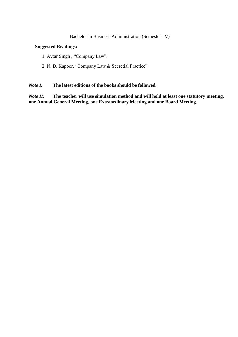## **Suggested Readings:**

1. Avtar Singh, "Company Law".

2. N. D. Kapoor, "Company Law & Secretial Practice".

## *Note I:* **The latest editions of the books should be followed***.*

*Note II:* **The teacher will use simulation method and will hold at least one statutory meeting, one Annual General Meeting, one Extraordinary Meeting and one Board Meeting.**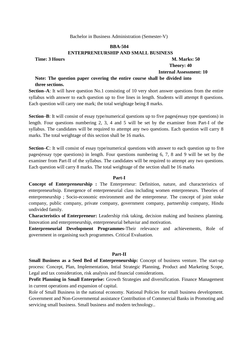## **BBA-504 ENTERPRENEURSHIP AND SMALL BUSINESS**

## **Time: 3 Hours M. Marks: 50 Theory: 40**

## **Internal Assessment: 10**

## **Note: The question paper covering the entire course shall be divided into three sections.**

**Section–A**: It will have question No.1 consisting of 10 very short answer questions from the entire syllabus with answer to each question up to five lines in length. Students will attempt 8 questions. Each question will carry one mark; the total weightage being 8 marks.

**Section–B**: It will consist of essay type/numerical questions up to five pages(essay type questions) in length. Four questions numbering 2, 3, 4 and 5 will be set by the examiner from Part-I of the syllabus. The candidates will be required to attempt any two questions. Each question will carry 8 marks. The total weightage of this section shall be 16 marks.

**Section–C**: It will consist of essay type/numerical questions with answer to each question up to five pages(essay type questions) in length. Four questions numbering 6, 7, 8 and 9 will be set by the examiner from Part-II of the syllabus. The candidates will be required to attempt any two questions. Each question will carry 8 marks. The total weightage of the section shall be 16 marks

#### **Part-I**

**Concept of Enterpreneurship :** The Enterpreneur: Definition, nature, and characteristics of enterpreneurhsip. Emergence of enterpreneurial class including women enterpreneurs. Theories of enterpreneurship ; Socio-economic environment and the enterpreneur. The concept of joint stoke company, public company, private company, government company, partnership company, Hindu undivided family.

**Characteristics of Enterpreneur:** Leadership risk taking, decision making and business planning. Innovation and enterpreneurship, enterpreneurial behaviur and motivation.

**Enterpreneurial Development Programmes-**Their relevance and achievements, Role of government in organising such programmes. Critical Evaluation.

#### **Part-II**

**Small Business as a Seed Bed of Enterpreneurship:** Concept of business venture. The start-up process: Concept, Plan, Implementation, Intial Strategic Planning, Product and Marketing Scope, Legal and tax consideration, risk analysis and financial considerations.

**Profit Planning in Small Enterprise:** Growth Strategies and diversification. Finance Management in current operations and expansion of capital.

Role of Small Business in the national economy. National Policies for small business development. Government and Non-Governmental assistance Contribution of Commercial Banks in Promoting and servicing small business. Small business and modern technology..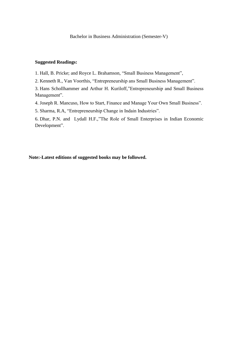#### **Suggested Readings:**

1. Hall, B. Pricke; and Royce L. Brahamson, "Small Business Management",

2. Kenneth R., Van Voorthis, "Entrepreneurship ans Small Business Management".

3. Hans Schollhammer and Arthur H. Kuriloff,"Entrepreneurship and Small Business Management".

4. Joseph R. Mancuso, How to Start, Finance and Manage Your Own Small Business".

5. Sharma, R.A, "Entrepreneurship Change in Indain Industries".

6. Dhar, P.N. and Lydall H.F.,"The Role of Small Enterprises in Indian Economic Development".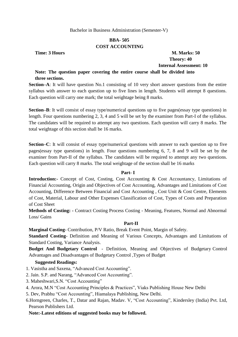## **BBA- 505 COST ACCOUNTING**

**Time: 3 Hours M. Marks: 50 Theory: 40 Internal Assessment: 10**

## **Note: The question paper covering the entire course shall be divided into three sections.**

**Section–A**: It will have question No.1 consisting of 10 very short answer questions from the entire syllabus with answer to each question up to five lines in length. Students will attempt 8 questions. Each question will carry one mark; the total weightage being 8 marks.

**Section–B**: It will consist of essay type/numerical questions up to five pages(essay type questions) in length. Four questions numbering 2, 3, 4 and 5 will be set by the examiner from Part-I of the syllabus. The candidates will be required to attempt any two questions. Each question will carry 8 marks. The total weightage of this section shall be 16 marks.

**Section–C**: It will consist of essay type/numerical questions with answer to each question up to five pages(essay type questions) in length. Four questions numbering 6, 7, 8 and 9 will be set by the examiner from Part-II of the syllabus. The candidates will be required to attempt any two questions. Each question will carry 8 marks. The total weightage of the section shall be 16 marks

## **Part- I**

Introduction:- Concept of Cost, Costing, Cost Accounting & Cost Accountancy, Limitations of Financial Accounting, Origin and Objectives of Cost Accounting, Advantages and Limitations of Cost Accounting, Difference Between Financial and Cost Accounting , Cost Unit & Cost Centre, Elements of Cost, Material, Labour and Other Expenses Classification of Cost, Types of Costs and Preparation of Cost Sheet

**Methods of Costing: -** Contract Costing Process Costing - Meaning, Features, Normal and Abnormal Loss/ Gains

## **Part-II**

**Marginal Costing-** Contribution, P/V Ratio, Break Event Point, Margin of Safety.

**Standard Costing**- Definition and Meaning of Various Concepts, Advantages and Limitations of Standard Costing, Variance Analysis.

**Budget And Budgetary Control** - Definition, Meaning and Objectives of Budgetary Control Advantages and Disadvantages of Budgetary Control ,Types of Budget

## **Suggested Readings:**

- 1. Vasistha and Saxena, "Advanced Cost Accounting".
- 2. Jain. S.P. and Narang, "Advanced Cost Accounting".
- 3. Maheshwari, S.N. "Cost Accounting"
- 4. Arora, M.N "Cost Accounting Principles & Practices", Viaks Publishing House New Delhi
- 5. Dev, Prabhu "Cost Accounting", Hiamalaya Publishing, New Delhi.
- 6.Horngreen, Charles, T., Datar and Rajan, Madav. V, "Cost Accounting", Kindersley (India) Pvt. Ltd, Pearson Publishers Ltd.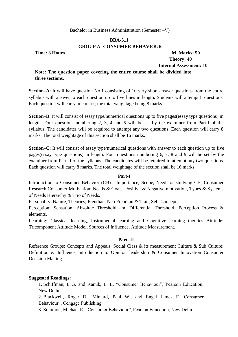## **BBA-511 GROUP A- CONSUMER BEHAVIOUR**

**Time: 3 Hours M. Marks: 50 Theory: 40 Internal Assessment: 10**

**Note: The question paper covering the entire course shall be divided into three sections.**

**Section–A**: It will have question No.1 consisting of 10 very short answer questions from the entire syllabus with answer to each question up to five lines in length. Students will attempt 8 questions. Each question will carry one mark; the total weightage being 8 marks.

**Section–B**: It will consist of essay type/numerical questions up to five pages(essay type questions) in length. Four questions numbering 2, 3, 4 and 5 will be set by the examiner from Part-I of the syllabus. The candidates will be required to attempt any two questions. Each question will carry 8 marks. The total weightage of this section shall be 16 marks.

**Section–C**: It will consist of essay type/numerical questions with answer to each question up to five pages(essay type questions) in length. Four questions numbering 6, 7, 8 and 9 will be set by the examiner from Part-II of the syllabus. The candidates will be required to attempt any two questions. Each question will carry 8 marks. The total weightage of the section shall be 16 marks

## **Part-I**

Introduction to Consumer Behavior (CB) - Importance, Scope, Need for studying CB, Consumer Research Consumer Motivation: Needs & Goals, Positive & Negative motivation, Types & Systems of Needs Hierarchy & Trio of Needs.

Personality: Nature, Theories; Freudian, Neo Freudian & Trait, Self-Concept.

Perception: Sensation, Absolute Threshold and Differential Threshold. Perception Process & elements.

Learning: Classical learning, Instrumental learning and Cognitive learning theories Attitude: Tricomponent Attitude Model, Sources of Influence, Attitude Measurement.

## **Part- II**

Reference Groups: Concepts and Appeals. Social Class & its measurement Culture & Sub Culture: Definition & Influence Introduction to Opinion leadership & Consumer Innovation Consumer Decision Making

## **Suggested Readings:**

1. Schiffman, I. G. and Kanuk, L. L. "Consumer Behaviour", Pearson Education, New Delhi.

2. Blackwell, Roger D., Miniard, Paul W., and Engel James F. "Consumer Behaviour", Cengage Publishing.

3. Solomon, Michael R. "Consumer Behaviour", Pearson Education, New Delhi.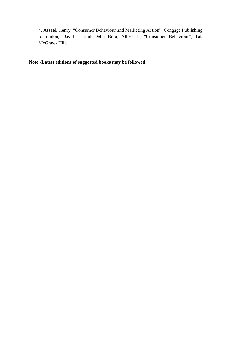4. Assael, Henry, "Consumer Behaviour and Marketing Action", Cengage Publishing. 5. Loudon, David L. and Della Bitta, Albert J., "Consumer Behaviour", Tata McGraw- Hill.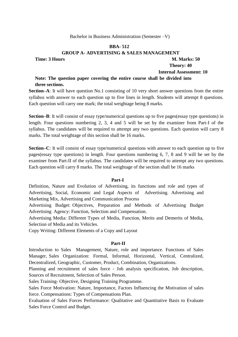## **BBA- 512**

#### **GROUP A- ADVERTISING & SALES MANAGEMENT**

## **Time: 3 Hours M. Marks: 50 Theory: 40**

 **Internal Assessment: 10**

## **Note: The question paper covering the entire course shall be divided into three sections.**

**Section–A**: It will have question No.1 consisting of 10 very short answer questions from the entire syllabus with answer to each question up to five lines in length. Students will attempt 8 questions. Each question will carry one mark; the total weightage being 8 marks.

**Section–B**: It will consist of essay type/numerical questions up to five pages(essay type questions) in length. Four questions numbering 2, 3, 4 and 5 will be set by the examiner from Part-I of the syllabus. The candidates will be required to attempt any two questions. Each question will carry 8 marks. The total weightage of this section shall be 16 marks.

**Section–C**: It will consist of essay type/numerical questions with answer to each question up to five pages(essay type questions) in length. Four questions numbering 6, 7, 8 and 9 will be set by the examiner from Part-II of the syllabus. The candidates will be required to attempt any two questions. Each question will carry 8 marks. The total weightage of the section shall be 16 marks

#### **Part-I**

Definition, Nature and Evolution of Advertising, its functions and role and types of Advertising, Social, Economic and Legal Aspects of Advertising. Advertising and Marketing Mix, Advertising and Communication Process

Advertising Budget: Objectives, Preparation and Methods of Advertising Budget Advertising Agency: Function, Selection and Compensation.

Advertising Media: Different Types of Media, Function, Merits and Demerits of Media, Selection of Media and its Vehicles.

Copy Writing: Different Elements of a Copy and Layout

#### **Part-II**

Introduction to Sales Management, Nature, role and importance. Functions of Sales Manager, Sales Organization: Formal, Informal, Horizontal, Vertical, Centralized, Decentralized, Geographic, Customer, Product, Combination, Organizations.

Planning and recruitment of sales force - Job analysis specification, Job description, Sources of Recruitment, Selection of Sales Person.

Sales Training- Objective, Designing Training Programme.

Sales Force Motivation: Nature, Importance, Factors Influencing the Motivation of sales force. Compensations: Types of Compensations Plan.

Evaluation of Sales Forces Performance: Qualitative and Quantitative Basis to Evaluate Sales Force Control and Budget.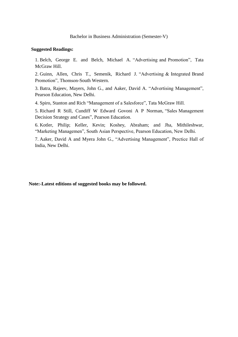#### **Suggested Readings:**

1. Belch, George E. and Belch, Michael A. "Advertising and Promotion", Tata McGraw Hill.

2. Guinn, Allen, Chris T., Semenik, Richard J. "Advertising  $\&$  Integrated Brand Promotion", Thomson-South Western.

3. Batra, Rajeev, Mayers, John G., and Aaker, David A. "Advertising Management", Pearson Education, New Delhi.

4. Spiro, Stanton and Rich "Management of a Salesforce", Tata McGraw Hill.

5. Richard R Still, Cundiff W Edward Govoni A P Norman, "Sales Management Decision Strategy and Cases", Pearson Education.

6. Kotler, Philip; Keller, Kevin; Koshey, Abraham; and Jha, Mithileshwar, "Marketing Managemen", South Asian Perspective, Pearson Education, New Delhi.

7. Aaker, David A and Myera John G., "Advertising Management", Prectice Hall of India, New Delhi.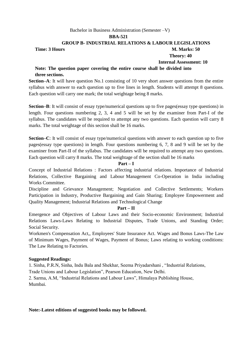#### **BBA-521**

## **GROUP B- INDUSTRIAL RELATIONS & LABOUR LEGISLATIONS**

## **Time: 3 Hours M. Marks: 50**

 **Theory: 40**

## **Internal Assessment: 10**

## **Note: The question paper covering the entire course shall be divided into three sections.**

**Section–A**: It will have question No.1 consisting of 10 very short answer questions from the entire syllabus with answer to each question up to five lines in length. Students will attempt 8 questions. Each question will carry one mark; the total weightage being 8 marks.

**Section–B**: It will consist of essay type/numerical questions up to five pages(essay type questions) in length. Four questions numbering 2, 3, 4 and 5 will be set by the examiner from Part-I of the syllabus. The candidates will be required to attempt any two questions. Each question will carry 8 marks. The total weightage of this section shall be 16 marks.

**Section–C**: It will consist of essay type/numerical questions with answer to each question up to five pages(essay type questions) in length. Four questions numbering 6, 7, 8 and 9 will be set by the examiner from Part-II of the syllabus. The candidates will be required to attempt any two questions. Each question will carry 8 marks. The total weightage of the section shall be 16 marks

## **Part – I**

Concept of Industrial Relations : Factors affecting industrial relations. Importance of Industrial Relations, Collective Bargaining and Labour Management Co-Operation in India including Works Committee.

Discipline and Grievance Management; Negotiation and Collective Settlements; Workers Participation in Industry, Productive Bargaining and Gain Sharing; Employee Empowerment and Quality Management; Industrial Relations and Technological Change

## **Part – II**

Emergence and Objectives of Labour Laws and their Socio-economic Environment; Industrial Relations Laws-Laws Relating to Industrial Disputes, Trade Unions, and Standing Order; Social Security.

Workmen's Compensation Act,, Employees' State Insurance Act. Wages and Bonus Laws-The Law of Minimum Wages, Payment of Wages, Payment of Bonus; Laws relating to working conditions: The Law Relating to Factories.

## **Suggested Readings:**

1. Sinha, P.R.N. Sinha, Indu Bala and Shekhar, Seema Privadarshani, "Industrial Relations,

Trade Unions and Labour Legislation", Pearson Education, New Delhi.

2. Sarma, A.M, "Industrial Relations and Labour Laws", Himalaya Publishing House, Mumbai.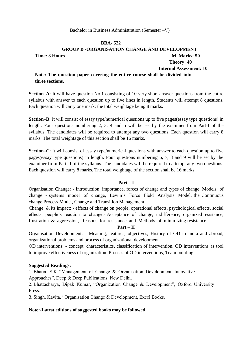## **BBA- 522 GROUP B -ORGANISATION CHANGE AND DEVELOPMENT Time: 3 Hours M. Marks: 50 Theory: 40**

 **Internal Assessment: 10**

## **Note: The question paper covering the entire course shall be divided into three sections.**

**Section–A**: It will have question No.1 consisting of 10 very short answer questions from the entire syllabus with answer to each question up to five lines in length. Students will attempt 8 questions. Each question will carry one mark; the total weightage being 8 marks.

**Section–B**: It will consist of essay type/numerical questions up to five pages(essay type questions) in length. Four questions numbering 2, 3, 4 and 5 will be set by the examiner from Part-I of the syllabus. The candidates will be required to attempt any two questions. Each question will carry 8 marks. The total weightage of this section shall be 16 marks.

**Section–C**: It will consist of essay type/numerical questions with answer to each question up to five pages(essay type questions) in length. Four questions numbering 6, 7, 8 and 9 will be set by the examiner from Part-II of the syllabus. The candidates will be required to attempt any two questions. Each question will carry 8 marks. The total weightage of the section shall be 16 marks

## **Part – I**

Organisation Change: - Introduction, importance, forces of change and types of change. Models of change: - systems model of change, Lewin's Force Field Analysis Model, the Continuous change Process Model, Change and Transition Management.

Change & its impact: - effects of change on people, operational effects, psychological effects, social effects, people's reaction to change:- Acceptance of change, indifference, organized resistance, frustration & aggression, Reasons for resistance and Methods of minimizing resistance.

## **Part – II**

Organisation Development: - Meaning, features, objectives, History of OD in India and abroad, organizational problems and process of organizational development.

OD interventions: - concept, characteristics, classification of intervention, OD interventions as tool to improve effectiveness of organization. Process of OD interventions, Team building.

## **Suggested Readings:**

1. Bhatia, S.K, "Management of Change & Organisation Development- Innovative Approaches", Deep & Deep Publications, New Delhi.

2. Bhattacharya, Dipak Kumar, "Organization Change & Development", Oxford University Press.

3. Singh, Kavita, "Organisation Change & Development, Excel Books.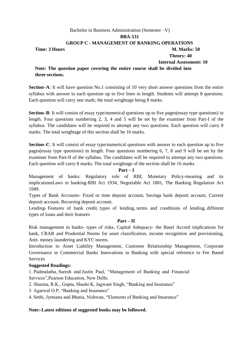## Bachelor in Business Administration (Semester –V) **BBA-531 GROUP C - MANAGEMENT OF BANKING OPERATIONS Time: 3 Hours M. Marks: 50 Theory: 40**

 **Internal Assessment: 10**

**Note: The question paper covering the entire course shall be divided into three sections.**

**Section–A**: It will have question No.1 consisting of 10 very short answer questions from the entire syllabus with answer to each question up to five lines in length. Students will attempt 8 questions. Each question will carry one mark; the total weightage being 8 marks.

**Section–B**: It will consist of essay type/numerical questions up to five pages(essay type questions) in length. Four questions numbering 2, 3, 4 and 5 will be set by the examiner from Part-I of the syllabus. The candidates will be required to attempt any two questions. Each question will carry 8 marks. The total weightage of this section shall be 16 marks.

**Section–C**: It will consist of essay type/numerical questions with answer to each question up to five pages(essay type questions) in length. Four questions numbering 6, 7, 8 and 9 will be set by the examiner from Part-II of the syllabus. The candidates will be required to attempt any two questions. Each question will carry 8 marks. The total weightage of the section shall be 16 marks

## **Part – I**

Management of banks: Regulatory role of RBI, Monetary Policy-meaning and its implicationsLaws in banking-RBI Act 1934, Negotiable Act 1881, The Banking Regulation Act 1949.

Types of Bank Accounts- Fixed or time deposit account, Savings bank deposit account, Current deposit account, Recurring deposit account.

Lending- Features of bank credit, types of lending, terms and conditions of lending, different types of loans and their features

## **Part – II**

Risk management in banks- types of risks, Capital Adequacy- the Basel Accord implications for bank, CRAR and Prudential Norms for asset classification, income recognition and provisioning, Anti- money laundering and KYC norms.

Introduction to Asset Liability Management, Customer Relationship Management, Corporate Governance in Commercial Banks Innovations in Banking with special reference to Fee Based Services

## **Suggested Readings:**

1. Padmalatha, Suresh and Justin Paul, "Management of Banking and Financial Services", Pearson Education, New Delhi.

- 2. Sharma, R.K., Gupta, Shashi K, Jagwant Singh, "Banking and Insurance"
- 3. Agarwal O.P, "Banking and Insurance"
- 4. Sethi, Jyotsana and Bhatia, Nishwan, "Elements of Banking and Insurance"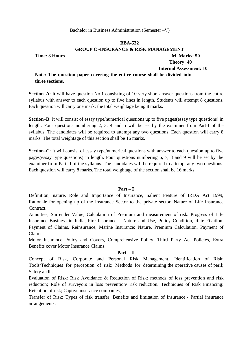#### **BBA-532**

**GROUP C -INSURANCE & RISK MANAGEMENT**

**Time: 3 Hours M. Marks: 50 Theory: 40 Internal Assessment: 10**

## **Note: The question paper covering the entire course shall be divided into three sections.**

**Section–A**: It will have question No.1 consisting of 10 very short answer questions from the entire syllabus with answer to each question up to five lines in length. Students will attempt 8 questions. Each question will carry one mark; the total weightage being 8 marks.

**Section–B**: It will consist of essay type/numerical questions up to five pages(essay type questions) in length. Four questions numbering 2, 3, 4 and 5 will be set by the examiner from Part-I of the syllabus. The candidates will be required to attempt any two questions. Each question will carry 8 marks. The total weightage of this section shall be 16 marks.

**Section–C**: It will consist of essay type/numerical questions with answer to each question up to five pages(essay type questions) in length. Four questions numbering 6, 7, 8 and 9 will be set by the examiner from Part-II of the syllabus. The candidates will be required to attempt any two questions. Each question will carry 8 marks. The total weightage of the section shall be 16 marks

## **Part – I**

Definition, nature, Role and Importance of Insurance, Salient Feature of IRDA Act 1999, Rationale for opening up of the Insurance Sector to the private sector. Nature of Life Insurance Contract.

Annuities, Surrender Value, Calculation of Premium and measurement of risk. Progress of Life Insurance Business in India, Fire Insurance – Nature and Use, Policy Condition, Rate Fixation, Payment of Claims, Reinsurance, Marine Insurance: Nature. Premium Calculation, Payment of Claims

Motor Insurance Policy and Covers, Comprehensive Policy, Third Party Act Policies, Extra Benefits cover Motor Insurance Claims.

## **Part – II**

Concept of Risk, Corporate and Personal Risk Management. Identification of Risk: Tools/Techniques for perception of risk; Methods for determining the operative causes of peril; Safety audit.

Evaluation of Risk: Risk Avoidance & Reduction of Risk: methods of loss prevention and risk reduction; Role of surveyors in loss prevention/ risk reduction. Techniques of Risk Financing: Retention of risk; Captive insurance companies,

Transfer of Risk: Types of risk transfer; Benefits and limitation of Insurance:- Partial insurance arrangements.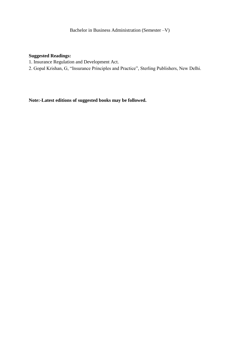## **Suggested Readings:**

- 1. Insurance Regulation and Development Act.
- 2. Gopal Krishan, G, "Insurance Principles and Practice", Sterling Publishers, New Delhi.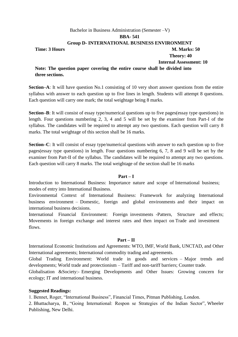## Bachelor in Business Administration (Semester –V) **BBA- 541 Group D- INTERNATIONAL BUSINESS ENVIRONMENT Time: 3 Hours M. Marks: 50 Theory: 40 Internal Assessment: 10**

**Note: The question paper covering the entire course shall be divided into three sections.**

**Section–A**: It will have question No.1 consisting of 10 very short answer questions from the entire syllabus with answer to each question up to five lines in length. Students will attempt 8 questions. Each question will carry one mark; the total weightage being 8 marks.

**Section–B**: It will consist of essay type/numerical questions up to five pages(essay type questions) in length. Four questions numbering 2, 3, 4 and 5 will be set by the examiner from Part-I of the syllabus. The candidates will be required to attempt any two questions. Each question will carry 8 marks. The total weightage of this section shall be 16 marks.

**Section–C**: It will consist of essay type/numerical questions with answer to each question up to five pages(essay type questions) in length. Four questions numbering 6, 7, 8 and 9 will be set by the examiner from Part-II of the syllabus. The candidates will be required to attempt any two questions. Each question will carry 8 marks. The total weightage of the section shall be 16 marks

#### **Part – I**

Introduction to International Business: Importance nature and scope of International business; modes of entry into International Business.

Environmental Context of International Business: Framework for analyzing International business environment – Domestic, foreign and global environments and their impact on international business decisions.

International Financial Environment: Foreign investments -Pattern, Structure and effects; Movements in foreign exchange and interest rates and then impact on Trade and investment flows.

## **Part – II**

International Economic Institutions and Agreements: WTO, IMF, World Bank, UNCTAD, and Other International agreements; International commodity trading and agreements.

Global Trading Environment: World trade in goods and services – Major trends and developments; World trade and protectionism – Tariff and non-tariff barriers; Counter trade.

Globalisation &Society:- Emerging Developments and Other Issues: Growing concern for ecology; IT and international business.

## **Suggested Readings:**

1. Bennet, Roger, "International Business", Financial Times, Pitman Publishing, London.

2. Bhattacharya, B., "Going International: Respon se Strategies of the Indian Sector", Wheeler Publishing, New Delhi.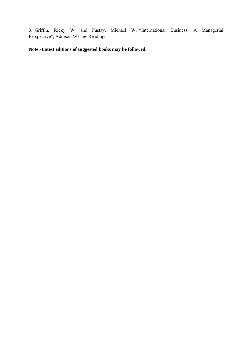3. Griffin, Ricky W. and Pustay, Michael W, "International Business: A Managerial Perspective", Addison Wesley Readings.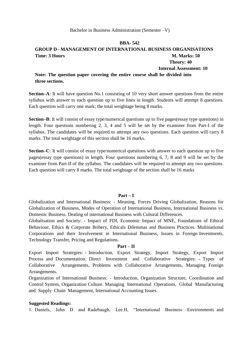## **BBA- 542**

## **GROUP D– MANAGEMENT OF INTERNATIONAL BUSINESS ORGANISATIONS Time: 3 Hours M. Marks: 50 Theory: 40**

## **Internal Assessment: 10**

## **Note: The question paper covering the entire course shall be divided into three sections.**

**Section–A**: It will have question No.1 consisting of 10 very short answer questions from the entire syllabus with answer to each question up to five lines in length. Students will attempt 8 questions. Each question will carry one mark; the total weightage being 8 marks.

**Section–B**: It will consist of essay type/numerical questions up to five pages(essay type questions) in length. Four questions numbering 2, 3, 4 and 5 will be set by the examiner from Part-I of the syllabus. The candidates will be required to attempt any two questions. Each question will carry 8 marks. The total weightage of this section shall be 16 marks.

**Section–C**: It will consist of essay type/numerical questions with answer to each question up to five pages(essay type questions) in length. Four questions numbering 6, 7, 8 and 9 will be set by the examiner from Part-II of the syllabus. The candidates will be required to attempt any two questions. Each question will carry 8 marks. The total weightage of the section shall be 16 marks

#### **Part – I**

Globalization and International Business: - Meaning, Forces Driving Globalization, Reasons for Globalization of Business, Modes of Operation of International Business, International Business vs. Domestic Business. Dealing of international Business with Cultural Differences.

Globalisation and Society: - Impact of FDI, Economic Impact of MNE, Foundations of Ethical Behaviour, Ethics & Corporate Bribery, Ethicals Dilemmas and Business Practices. Multinational Corporations and their Involvement in International Business, Issues in Foreign Investments, Technology Transfer, Pricing and Regulations.

#### **Part – II**

Export Import Strategies: - Introduction, Export Strategy, Import Strategy, Export Import Process and Documentation. Direct Investment and Collaborative Strategies: - Types of Collaborative Arrangements, Problems with Collaborative Arrangements, Managing Foreign Arrangements.

Organization of International Business: - Introduction, Organization Structure, Coordination and Control System, Organization Culture. Managing International Operations, Global Manufacturing and Supply Chain Management, International Accounting Issues.

## **Suggested Readings:**

1. Daniels, John D and Radebaugh, Lee.H, "International Business –Environments and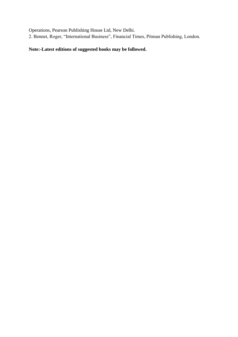Operations, Pearson Publishing House Ltd, New Delhi.

2. Bennet, Roger, "International Business", Financial Times, Pitman Publishing, London.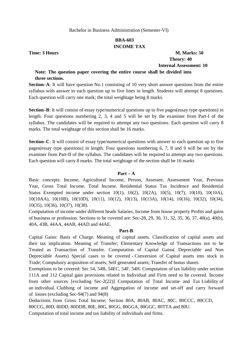## **BBA-603 INCOME TAX**

**Time: 3 Hours M. Marks: 50 Theory: 40 Internal Assessment: 10**

## **Note: The question paper covering the entire course shall be divided into three sections.**

**Section–A**: It will have question No.1 consisting of 10 very short answer questions from the entire syllabus with answer to each question up to five lines in length. Students will attempt 8 questions. Each question will carry one mark; the total weightage being 8 marks.

**Section–B**: It will consist of essay type/numerical questions up to five pages (essay type questions) in length. Four questions numbering 2, 3, 4 and 5 will be set by the examiner from Part-I of the syllabus. The candidates will be required to attempt any two questions. Each question will carry 8 marks. The total weightage of this section shall be 16 marks.

**Section–C**: It will consist of essay type/numerical questions with answer to each question up to five pages(essay type questions) in length. Four questions numbering 6, 7, 8 and 9 will be set by the examiner from Part-II of the syllabus. The candidates will be required to attempt any two questions. Each question will carry 8 marks. The total weightage of the section shall be 16 marks

## **Part – A**

Basic concepts: Income, Agricultural Income, Person, Assessee, Assessment Year, Previous Year, Gross Total Income, Total Income. Residential Status Tax Incidence and Residential Status Exempted income under section 10(1), 10(2), 10(2A), 10(5), 10(7), 10(10), 10(10A), 10(10AA), 10(10B), 10(10D), 10(11), 10(12), 10(13), 10(13A), 10(14), 10(16), 10(32), 10(34), 10(35), 10(36), 10(37), 10(38).

Computation of income under different heads Salaries, Income from house property Profits and gains of business or profession. Sections to be covered are: Sec-28, 29, 30, 31, 32, 35, 36, 37, 40(a), 40(b), 40A, 43B, 44AA, 44AB, 44AD and 44AE.

## **Part-B**

Capital Gains: Basis of Charge. Meaning of capital assets. Classification of capital assets and their tax implication. Meaning of Transfer; Elementary Knowledge of Transactions not to be Treated as Transaction of Transfer. Computation of Capital Gains( Depreciable and Non Depreciable Assets) Special cases to be covered - Conversion of Capital assets into stock in Trade; Compulsory acquisition of assets; Self generated assets; Transfer of bonus shares.

Exemptions to be covered: Sec 54, 54B, 54EC, 54F, 54H. Computation of tax liability under section 111A and 112 Capital gain provisions related to Individual and Firm need to be covered. Income from other sources [excluding Sec-2(22)] Computation of Total Income and Tax Liability of an individual. Clubbing of income and Aggregation of income and set-off and carry forward of losses (excluding Sec-94(7) and 94(8)

Deductions from Gross Total Income; Section 80A, 80AB, 80AC, 80C, 80CCC, 80CCD, 80CCG, 80D, 80DD, 80DDB, 80E, 80G, 80GG, 80GGA, 80GGC, 80TTA and 80U.

Computation of total income and tax liability of individuals and firms.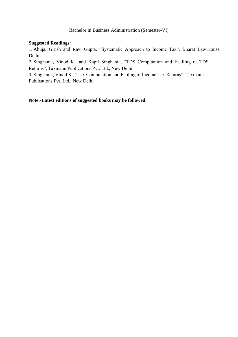## **Suggested Readings:**

1. Ahuja, Girish and Ravi Gupta, "Systematic Approach to Income Tax", Bharat Law House, Delhi.

2. Singhania, Vinod K., and Kapil Singhania, "TDS Computation and E- filing of TDS Returns", Taxmann Publications Pvt. Ltd., New Delhi.

3. Singhania, Vinod K., "Tax Computation and E-filing of Income Tax Returns", Taxmann Publications Pvt. Ltd., New Delhi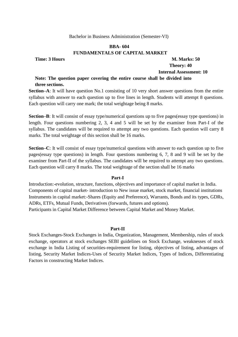## **BBA- 604 FUNDAMENTALS OF CAPITAL MARKET**

## **Time: 3 Hours M. Marks: 50 Theory: 40 Internal Assessment: 10**

## **Note: The question paper covering the entire course shall be divided into three sections.**

**Section–A**: It will have question No.1 consisting of 10 very short answer questions from the entire syllabus with answer to each question up to five lines in length. Students will attempt 8 questions. Each question will carry one mark; the total weightage being 8 marks.

**Section–B**: It will consist of essay type/numerical questions up to five pages(essay type questions) in length. Four questions numbering 2, 3, 4 and 5 will be set by the examiner from Part-I of the syllabus. The candidates will be required to attempt any two questions. Each question will carry 8 marks. The total weightage of this section shall be 16 marks.

**Section–C**: It will consist of essay type/numerical questions with answer to each question up to five pages(essay type questions) in length. Four questions numbering 6, 7, 8 and 9 will be set by the examiner from Part-II of the syllabus. The candidates will be required to attempt any two questions. Each question will carry 8 marks. The total weightage of the section shall be 16 marks

#### **Part-I**

Introduction:-evolution, structure, functions, objectives and importance of capital market in India. Components of capital market- introduction to New issue market, stock market, financial institutions Instruments in capital market:-Shares (Equity and Preference), Warrants, Bonds and its types, GDRs, ADRs, ETFs, Mutual Funds, Derivatives (forwards, futures and options). Participants in Capital Market Difference between Capital Market and Money Market.

#### **Part-II**

Stock Exchanges-Stock Exchanges in India, Organization, Management, Membership, rules of stock exchange, operators at stock exchanges SEBI guidelines on Stock Exchange, weaknesses of stock exchange in India Listing of securities-requirement for listing, objectives of listing, advantages of listing, Security Market Indices-Uses of Security Market Indices, Types of Indices, Differentiating Factors in constructing Market Indices.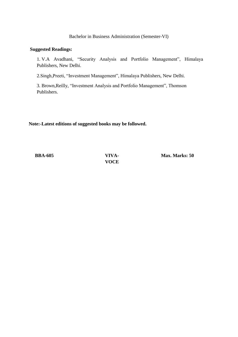#### **Suggested Readings:**

1. V.A Avadhani, "Security Analysis and Portfolio Management", Himalaya Publishers, New Delhi.

2.Singh, Preeti, "Investment Management", Himalaya Publishers, New Delhi.

3. Brown, Reilly, "Investment Analysis and Portfolio Management", Thomson Publishers.

## **Note:-Latest editions of suggested books may be followed.**

**BBA-605 VIVA-**

**VOCE**

**Max. Marks: 50**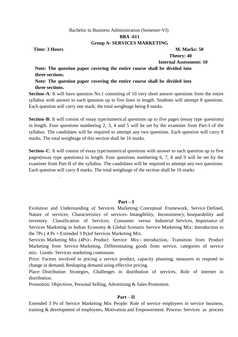#### **BBA -611**

## **Group A- SERVICES MARKETING**

**Time: 3 Hours M. Marks: 50** 

.

 **Theory: 40**

 **Internal Assessment: 10**

**Note: The question paper covering the entire course shall be divided into three sections.**

**Note: The question paper covering the entire course shall be divided into three sections.**

**Section–A**: It will have question No.1 consisting of 10 very short answer questions from the entire syllabus with answer to each question up to five lines in length. Students will attempt 8 questions. Each question will carry one mark; the total weightage being 8 marks.

**Section–B**: It will consist of essay type/numerical questions up to five pages (essay type questions) in length. Four questions numbering 2, 3, 4 and 5 will be set by the examiner from Part-I of the syllabus. The candidates will be required to attempt any two questions. Each question will carry 8 marks. The total weightage of this section shall be 16 marks.

**Section–C**: It will consist of essay type/numerical questions with answer to each question up to five pages(essay type questions) in length. Four questions numbering 6, 7, 8 and 9 will be set by the examiner from Part-II of the syllabus. The candidates will be required to attempt any two questions. Each question will carry 8 marks. The total weightage of the section shall be 16 marks

## **Part – I**

Evolution and Understanding of Services Marketing: Conceptual Framework, Service Defined, Nature of services; Characteristics of services- Intangibility, Inconsistency, Inseparability and inventory. Classification of Services; Consumer versus Industrial Services, Importance of Services Marketing in Indian Economy & Global Scenario Service Marketing Mix: Introduction to the 7Ps ( 4 Ps + Extended 3 Ps)of Services Marketing Mix.

Services Marketing Mix (4Ps):- Product Service Mix:- introduction, Transition from Product Marketing from Service Marketing, Differentiating goods from service, categories of service mix. Goods- Services marketing continuum.

Price: Factors involved in pricing a service product, capacity planning, measures to respond to change in demand, Reshaping demand using effective pricing.

Place: Distribution Strategies, Challenges in distribution of services, Role of internet in distribution.

Promotion: Objectives, Personal Selling, Advertising & Sales Promotion.

## **Part – II**

Extended 3 Ps of Service Marketing Mix People: Role of service employees in service business, training & development of employees, Motivation and Empowerment. Process: Services as process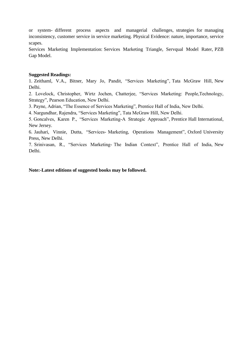or system- different process aspects and managerial challenges, strategies for managing inconsistency, customer service in service marketing. Physical Evidence: nature, importance, service scapes.

Services Marketing Implementation: Services Marketing Triangle, Servqual Model Rater, PZB Gap Model.

#### **Suggested Readings:**

1. Zeithaml, V.A., Bitner, Mary Jo, Pandit, "Services Marketing", Tata McGraw Hill, New Delhi.

2. Lovelock, Christopher, Wirtz Jochen, Chatterjee, "Services Marketing: People,Technology, Strategy", Pearson Education, New Delhi.

3. Payne, Adrian, "The Essence of Services Marketing", Prentice Hall of India, New Delhi.

4. Nargundhar, Rajendra, "Services Marketing", Tata McGraw Hill, New Delhi.

5. Goncalves, Karen P., "Services Marketing-A Strategic Approach", Prentice Hall International, New Jersey.

6. Jauhari, Vinnie, Dutta, "Services- Marketing, Operations Management", Oxford University Press, New Delhi.

7. Srinivasan, R., "Services Marketing- The Indian Context", Prentice Hall of India, New Delhi.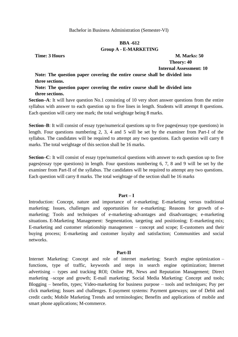## **BBA -612 Group A - E-MARKETING**

**Time: 3 Hours M. Marks: 50**

 **Theory: 40 Internal Assessment: 10**

**Note: The question paper covering the entire course shall be divided into three sections.**

**Note: The question paper covering the entire course shall be divided into three sections.**

**Section–A**: It will have question No.1 consisting of 10 very short answer questions from the entire syllabus with answer to each question up to five lines in length. Students will attempt 8 questions. Each question will carry one mark; the total weightage being 8 marks.

**Section–B**: It will consist of essay type/numerical questions up to five pages(essay type questions) in length. Four questions numbering 2, 3, 4 and 5 will be set by the examiner from Part-I of the syllabus. The candidates will be required to attempt any two questions. Each question will carry 8 marks. The total weightage of this section shall be 16 marks.

**Section–C**: It will consist of essay type/numerical questions with answer to each question up to five pages(essay type questions) in length. Four questions numbering 6, 7, 8 and 9 will be set by the examiner from Part-II of the syllabus. The candidates will be required to attempt any two questions. Each question will carry 8 marks. The total weightage of the section shall be 16 marks

#### **Part – I**

Introduction: Concept, nature and importance of e-marketing; E-marketing versus traditional marketing; Issues, challenges and opportunities for e-marketing; Reasons for growth of emarketing; Tools and techniques of e-marketing–advantages and disadvantages; e-marketing situations. E-Marketing Management: Segmentation, targeting and positioning; E-marketing mix; E-marketing and customer relationship management – concept and scope; E-customers and their buying process; E-marketing and customer loyalty and satisfaction; Communities and social networks.

#### **Part-II**

Internet Marketing: Concept and role of internet marketing; Search engine optimization – functions, type of traffic, keywords and steps in search engine optimization; Internet advertising – types and tracking ROI; Online PR, News and Reputation Management; Direct marketing –scope and growth; E-mail marketing; Social Media Marketing: Concept and tools; Blogging – benefits, types; Video-marketing for business purpose – tools and techniques; Pay per click marketing; Issues and challenges. E-payment systems: Payment gateways; use of Debit and credit cards; Mobile Marketing Trends and terminologies; Benefits and applications of mobile and smart phone applications; M-commerce.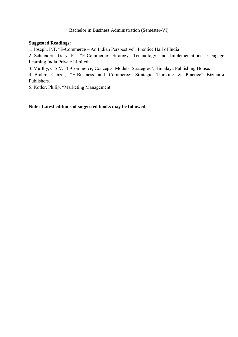## **Suggested Readings:**

1. Joseph, P.T. "E-Commerce – An Indian Perspective", Prentice Hall of India

2. Schneider, Gary P. "E-Commerce: Strategy, Technology and Implementations", Cengage Learning India Private Limited.

3. Murthy, C.S.V. "E-Commerce; Concepts, Models, Strategies", Himalaya Publishing House.

4. Brahm Canzer, "E-Business and Commerce: Strategic Thinking & Practice", Biztantra Publishers.

5. Kotler, Philip. "Marketing Management".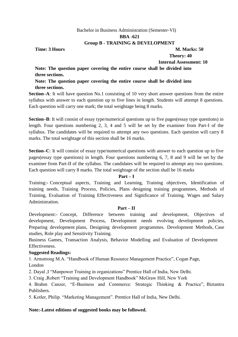#### **BBA -621**

## **Group B - TRAINING & DEVELOPMENT**

**Time: 3 Hours M. Marks: 50** 

 **Theory: 40**

 **Internal Assessment: 10**

**Note: The question paper covering the entire course shall be divided into three sections.**

**Note: The question paper covering the entire course shall be divided into three sections.**

**Section–A**: It will have question No.1 consisting of 10 very short answer questions from the entire syllabus with answer to each question up to five lines in length. Students will attempt 8 questions. Each question will carry one mark; the total weightage being 8 marks.

**Section–B**: It will consist of essay type/numerical questions up to five pages(essay type questions) in length. Four questions numbering 2, 3, 4 and 5 will be set by the examiner from Part-I of the syllabus. The candidates will be required to attempt any two questions. Each question will carry 8 marks. The total weightage of this section shall be 16 marks.

**Section–C**: It will consist of essay type/numerical questions with answer to each question up to five pages(essay type questions) in length. Four questions numbering 6, 7, 8 and 9 will be set by the examiner from Part-II of the syllabus. The candidates will be required to attempt any two questions. Each question will carry 8 marks. The total weightage of the section shall be 16 marks

## **Part – I**

Training:- Conceptual aspects, Training and Learning, Training objectives, Identification of training needs, Training Process, Policies, Plans designing training programmes, Methods of Training, Evaluation of Training Effectiveness and Significance of Training. Wages and Salary Administration.

## **Part – II**

Development:- Concept, Difference between training and development, Objectives of development, Development Process, Development needs evolving development policies, Preparing development plans, Designing development programmes. Development Methods, Case studies, Role play and Sensitivity Training.

Business Games, Transaction Analysis, Behavior Modelling and Evaluation of Development Effectiveness.

## **Suggested Readings:**

1. Armstrong M.A. "Handbook of Human Resource Management Practice", Cogan Page, London

2. Dayal , I "Manpower Training in organizations" Prentice Hall of India, New Delhi.

3. Craig , Robert "Training and Development Handbook" McGraw Hill, New York

4. Brahm Canzer, "E-Business and Commerce: Strategic Thinking & Practice", Biztantra Publishers.

5. Kotler, Philip. "Marketing Management". Prentice Hall of India, New Delhi.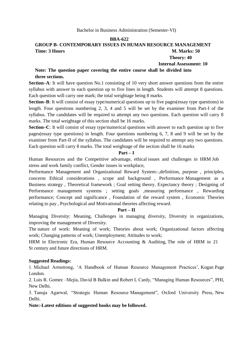# **BBA-622**

# **GROUP B- CONTEMPORARY ISSUES IN HUMAN RESOURCE MANAGEMENT Time: 3 Hours M. Marks: 50**

 **Theory: 40**

 **Internal Assessment: 10**

# **Note: The question paper covering the entire course shall be divided into three sections.**

**Section–A**: It will have question No.1 consisting of 10 very short answer questions from the entire syllabus with answer to each question up to five lines in length. Students will attempt 8 questions. Each question will carry one mark; the total weightage being 8 marks.

**Section–B**: It will consist of essay type/numerical questions up to five pages(essay type questions) in length. Four questions numbering 2, 3, 4 and 5 will be set by the examiner from Part-I of the syllabus. The candidates will be required to attempt any two questions. Each question will carry 8 marks. The total weightage of this section shall be 16 marks.

**Section–C**: It will consist of essay type/numerical questions with answer to each question up to five pages(essay type questions) in length. Four questions numbering 6, 7, 8 and 9 will be set by the examiner from Part-II of the syllabus. The candidates will be required to attempt any two questions. Each question will carry 8 marks. The total weightage of the section shall be 16 marks

#### **Part – I**

Human Resources and the Competitive advantage, ethical issues and challenges in HRM Job stress and work family conflict, Gender issues in workplace,

Performance Management and Organizational Reward System:-,definition, purpose , principles, concerns Ethical considerations , scope and background , Performance Management as a Business strategy , Theoretical framework ; Goal setting theory, Expectancy theory ; Designing of Performance management systems ; setting goals ,measuring performance , Rewarding performance; Concept and significance , Foundation of the reward system , Economic Theories relating to pay , Psychological and Motivational theories affecting reward.

#### **Part – II**

Managing Diversity: Meaning, Challenges in managing diversity, Diversity in organizations, improving the management of Diversity.

The nature of work: Meaning of work; Theories about work; Organizational factors affecting work; Changing patterns of work; Unemployment; Attitudes to work;

HRM in Electronic Era, Human Resource Accounting & Auditing, The role of HRM in 21 St century and future directions of HRM.

# **Suggested Readings:**

1. Michael Armstrong, ‗A Handbook of Human Resource Management Practices', Kogan Page London.

2. Luis R. Gomez –Mejia, David B Balkin and Robert L Cardy, "Managing Human Resources", PHI, New Delhi.

3. Tanuja Agarwal, "Strategic Human Resource Management", Oxford University Press, New Delhi.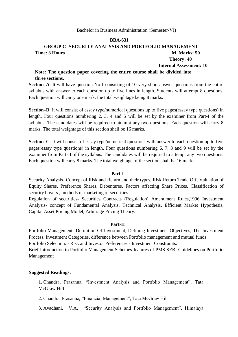#### **BBA-631**

# **GROUP C- SECURITY ANALYSIS AND PORTFOLIO MANAGEMENT Time: 3 Hours M. Marks: 50 Theory: 40**

# **Internal Assessment: 10**

# **Note: The question paper covering the entire course shall be divided into three sections.**

**Section–A**: It will have question No.1 consisting of 10 very short answer questions from the entire syllabus with answer to each question up to five lines in length. Students will attempt 8 questions. Each question will carry one mark; the total weightage being 8 marks.

**Section–B**: It will consist of essay type/numerical questions up to five pages (essay type questions) in length. Four questions numbering 2, 3, 4 and 5 will be set by the examiner from Part-I of the syllabus. The candidates will be required to attempt any two questions. Each question will carry 8 marks. The total weightage of this section shall be 16 marks.

**Section–C**: It will consist of essay type/numerical questions with answer to each question up to five pages(essay type questions) in length. Four questions numbering 6, 7, 8 and 9 will be set by the examiner from Part-II of the syllabus. The candidates will be required to attempt any two questions. Each question will carry 8 marks. The total weightage of the section shall be 16 marks

### **Part-I**

Security Analysis- Concept of Risk and Return and their types, Risk Return Trade Off, Valuation of Equity Shares, Preference Shares, Debentures, Factors affecting Share Prices, Classification of security buyers , methods of marketing of securities

Regulation of securities- Securities Contracts (Regulation) Amendment Rules,1996 Investment Analysis- concept of Fundamental Analysis, Technical Analysis, Efficient Market Hypothesis, Capital Asset Pricing Model, Arbitrage Pricing Theory.

#### **Part-II**

Portfolio Management- Definition Of Investment, Defining Investment Objectives, The Investment Process, Investment Categories, difference between Portfolio management and mutual funds Portfolio Selection: - Risk and Investor Preferences - Investment Constraints. Brief Introduction to Portfolio Management Schemes-features of PMS SEBI Guidelines on Portfolio Management

#### **Suggested Readings:**

1. Chandra, Prasanna, "Investment Analysis and Portfolio Management", Tata McGraw Hill

2. Chandra, Prasanna, "Financial Management", Tata McGraw Hill

3. Avadhani, V.A, "Security Analysis and Portfolio Management", Himalaya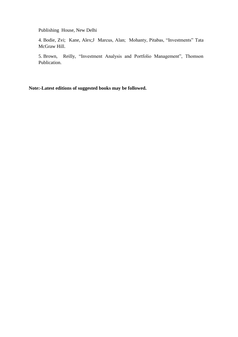Publishing House, New Delhi

4. Bodie, Zvi; Kane, Alex;J Marcus, Alan; Mohanty, Pitabas, "Investments" Tata McGraw Hill.

5. Brown, Reilly, "Investment Analysis and Portfolio Management", Thomson Publication.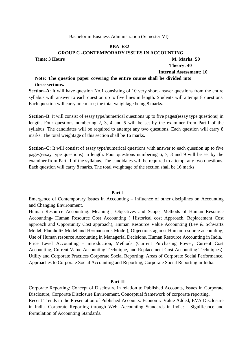#### **BBA- 632**

#### **GROUP C -CONTEMPORARY ISSUES IN ACCOUNTING**

#### **Time: 3 Hours M. Marks: 50**

# **Theory: 40**

# **Internal Assessment: 10**

# **Note: The question paper covering the entire course shall be divided into three sections.**

**Section–A**: It will have question No.1 consisting of 10 very short answer questions from the entire syllabus with answer to each question up to five lines in length. Students will attempt 8 questions. Each question will carry one mark; the total weightage being 8 marks.

**Section–B**: It will consist of essay type/numerical questions up to five pages(essay type questions) in length. Four questions numbering 2, 3, 4 and 5 will be set by the examiner from Part-I of the syllabus. The candidates will be required to attempt any two questions. Each question will carry 8 marks. The total weightage of this section shall be 16 marks.

**Section–C**: It will consist of essay type/numerical questions with answer to each question up to five pages(essay type questions) in length. Four questions numbering 6, 7, 8 and 9 will be set by the examiner from Part-II of the syllabus. The candidates will be required to attempt any two questions. Each question will carry 8 marks. The total weightage of the section shall be 16 marks

#### **Part-I**

Emergence of Contemporary Issues in Accounting – Influence of other disciplines on Accounting and Changing Environment.

Human Resource Accounting: Meaning , Objectives and Scope, Methods of Human Resource Accounting- Human Resource Cost Accounting ( Historical cost Approach, Replacement Cost approach and Opportunity Cost approach), Human Resource Value Accounting (Lev & Schwartz Model, Flamholtz Model and Hermanson's Model), Objections against Human resource accounting, Use of Human resource Accounting in Managerial Decisions. Human Resource Accounting in India. Price Level Accounting – introduction, Methods (Current Purchasing Power, Current Cost Accounting, Current Value Accounting Technique, and Replacement Cost Accounting Techniques), Utility and Corporate Practices Corporate Social Reporting: Areas of Corporate Social Performance, Approaches to Corporate Social Accounting and Reporting, Corporate Social Reporting in India.

#### **Part-II**

Corporate Reporting: Concept of Disclosure in relation to Published Accounts, Issues in Corporate Disclosure, Corporate Disclosure Environment, Conceptual framework of corporate reporting. Recent Trends in the Presentation of Published Accounts. Economic Value Added, EVA Disclosure in India. Corporate Reporting through Web. Accounting Standards in India: - Significance and formulation of Accounting Standards.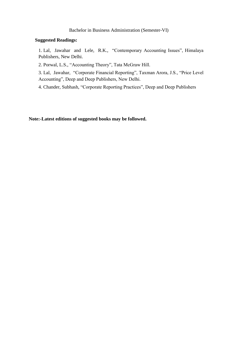#### **Suggested Readings:**

1. Lal, Jawahar and Lele, R.K., "Contemporary Accounting Issues", Himalaya Publishers, New Delhi.

2. Porwal, L.S., "Accounting Theory", Tata McGraw Hill.

3. Lal, Jawahar, "Corporate Financial Reporting", Taxman Arora, J.S., "Price Level Accounting", Deep and Deep Publishers, New Delhi.

4. Chander, Subhash, "Corporate Reporting Practices", Deep and Deep Publishers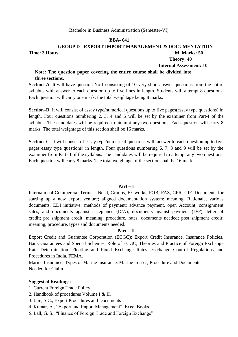#### **BBA- 641**

# **GROUP D - EXPORT IMPORT MANAGEMENT & DOCUMENTATION**

**Time: 3 Hours M. Marks: 50** 

 **Theory: 40 Internal Assessment: 10**

# **Note: The question paper covering the entire course shall be divided into three sections.**

**Section–A**: It will have question No.1 consisting of 10 very short answer questions from the entire syllabus with answer to each question up to five lines in length. Students will attempt 8 questions. Each question will carry one mark; the total weightage being 8 marks.

**Section–B**: It will consist of essay type/numerical questions up to five pages(essay type questions) in length. Four questions numbering 2, 3, 4 and 5 will be set by the examiner from Part-I of the syllabus. The candidates will be required to attempt any two questions. Each question will carry 8 marks. The total weightage of this section shall be 16 marks.

**Section–C**: It will consist of essay type/numerical questions with answer to each question up to five pages(essay type questions) in length. Four questions numbering 6, 7, 8 and 9 will be set by the examiner from Part-II of the syllabus. The candidates will be required to attempt any two questions. Each question will carry 8 marks. The total weightage of the section shall be 16 marks

#### **Part – I**

International Commercial Terms – Need, Groups, Ex-works, FOB, FAS, CFR, CIF. Documents for starting up a new export venture; aligned documentation system: meaning, Rationale, various documents, EDI initiative; methods of payment: advance payment, open Account, consignment sales, and documents against acceptance (D/A), documents against payment (D/P), letter of credit; pre shipment credit: meaning, procedure, rates, documents needed; post shipment credit: meaning, procedure, types and documents needed.

#### **Part – II**

Export Credit and Guarantee Corporation (ECGC): Export Credit Insurance, Insurance Policies, Bank Guarantees and Special Schemes, Role of ECGC; Theories and Practice of Foreign Exchange Rate Determination, Floating and Fixed Exchange Rates; Exchange Control Regulations and Procedures in India, FEMA.

Marine Insurance: Types of Marine Insurance, Marine Losses, Procedure and Documents Needed for Claim.

#### **Suggested Readings:**

1. Current Foreign Trade Policy

2. Handbook of procedures Volume I & II.

3. Jain, S.C., Export Procedures and Documents

- 4. Kumar, A., "Export and Import Management", Excel Books.
- 5. Lall, G. S., "Finance of Foreign Trade and Foreign Exchange"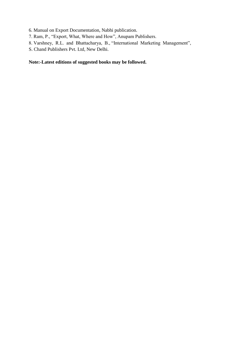6. Manual on Export Documentation, Nabhi publication.

- 7. Ram, P., "Export, What, Where and How", Anupam Publishers.
- 8. Varshney, R.L. and Bhattacharya, B., "International Marketing Management",
- S. Chand Publishers Pvt. Ltd, New Delhi.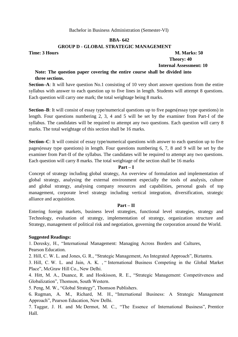### **BBA- 642**

# **GROUP D - GLOBAL STRATEGIC MANAGEMENT**

**Time: 3 Hours M. Marks: 50 Theory: 40 Internal Assessment: 10**

# **Note: The question paper covering the entire course shall be divided into three sections.**

**Section–A**: It will have question No.1 consisting of 10 very short answer questions from the entire syllabus with answer to each question up to five lines in length. Students will attempt 8 questions. Each question will carry one mark; the total weightage being 8 marks.

**Section–B**: It will consist of essay type/numerical questions up to five pages(essay type questions) in length. Four questions numbering 2, 3, 4 and 5 will be set by the examiner from Part-I of the syllabus. The candidates will be required to attempt any two questions. Each question will carry 8 marks. The total weightage of this section shall be 16 marks.

**Section–C**: It will consist of essay type/numerical questions with answer to each question up to five pages(essay type questions) in length. Four questions numbering 6, 7, 8 and 9 will be set by the examiner from Part-II of the syllabus. The candidates will be required to attempt any two questions. Each question will carry 8 marks. The total weightage of the section shall be 16 marks

#### **Part – I**

Concept of strategy including global strategy, An overview of formulation and implementation of global strategy, analysing the external environment especially the tools of analysis, culture and global strategy, analysing company resources and capabilities, personal goals of top management, corporate level strategy including vertical integration, diversification, strategic alliance and acquisition.

#### **Part – II**

Entering foreign markets, business level strategies, functional level strategies, strategy and Technology, evaluation of strategy, implementation of strategy, organization structure and Strategy, management of political risk and negotiation, governing the corporation around the World.

#### **Suggested Readings:**

1. Deresky, H., "International Management: Managing Across Borders and Cultures, Pearson Education.

2. Hill, C. W. L. and Jones, G. R., "Strategic Management, An Integrated Approach", Biztantra.

3. Hill, C. W. L. and Jain, A. K., "International Business Competing in the Global Market Place", McGraw Hill Co., New Delhi.

4. Hitt, M. A., Duance, R. and Hoskisson, R. E., "Strategic Management: Competitveness and Globalization", Thomson, South Western.

5. Peng, M. W., "Global Strategy", Thomson Publishers.

6. Rugman, A. M., Richard, M. H., "International Business: A Strategic Management Approach", Pearson Education, New Delhi.

7. Taggar, J. H. and Mc Dermot, M. C., "The Essence of International Business", Prentice Hall.